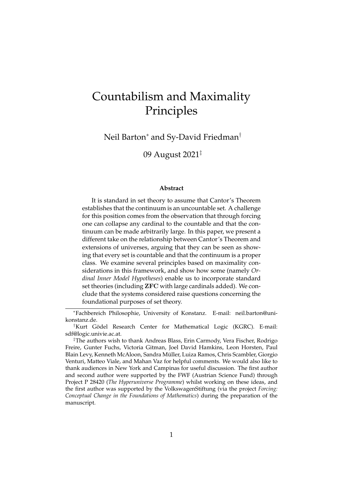# Countabilism and Maximality Principles

Neil Barton<sup>∗</sup> and Sy-David Friedman†

09 August 2021‡

#### **Abstract**

It is standard in set theory to assume that Cantor's Theorem establishes that the continuum is an uncountable set. A challenge for this position comes from the observation that through forcing one can collapse any cardinal to the countable and that the continuum can be made arbitrarily large. In this paper, we present a different take on the relationship between Cantor's Theorem and extensions of universes, arguing that they can be seen as showing that every set is countable and that the continuum is a proper class. We examine several principles based on maximality considerations in this framework, and show how some (namely *Ordinal Inner Model Hypotheses*) enable us to incorporate standard set theories (including ZFC with large cardinals added). We conclude that the systems considered raise questions concerning the foundational purposes of set theory.

<sup>∗</sup>Fachbereich Philosophie, University of Konstanz. E-mail: neil.barton@unikonstanz.de.

<sup>&</sup>lt;sup>†</sup>Kurt Gödel Research Center for Mathematical Logic (KGRC). E-mail: sdf@logic.univie.ac.at.

<sup>‡</sup>The authors wish to thank Andreas Blass, Erin Carmody, Vera Fischer, Rodrigo Freire, Gunter Fuchs, Victoria Gitman, Joel David Hamkins, Leon Horsten, Paul Blain Levy, Kenneth McAloon, Sandra Muller, Luiza Ramos, Chris Scambler, Giorgio ¨ Venturi, Matteo Viale, and Mahan Vaz for helpful comments. We would also like to thank audiences in New York and Campinas for useful discussion. The first author and second author were supported by the FWF (Austrian Science Fund) through Project P 28420 (*The Hyperuniverse Programme*) whilst working on these ideas, and the first author was supported by the VolkswagenStiftung (via the project *Forcing: Conceptual Change in the Foundations of Mathematics*) during the preparation of the manuscript.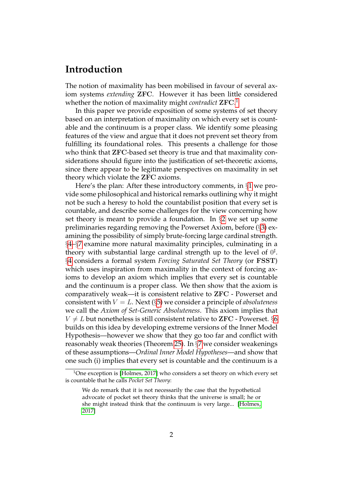# **Introduction**

The notion of maximality has been mobilised in favour of several axiom systems *extending* ZFC. However it has been little considered whether the notion of maximality might *contradict* ZFC. [1](#page-1-0)

In this paper we provide exposition of some systems of set theory based on an interpretation of maximality on which every set is countable and the continuum is a proper class. We identify some pleasing features of the view and argue that it does not prevent set theory from fulfilling its foundational roles. This presents a challenge for those who think that ZFC-based set theory is true and that maximality considerations should figure into the justification of set-theoretic axioms, since there appear to be legitimate perspectives on maximality in set theory which violate the ZFC axioms.

Here's the plan: After these introductory comments, in §[1](#page-2-0) we provide some philosophical and historical remarks outlining why it might not be such a heresy to hold the countabilist position that every set is countable, and describe some challenges for the view concerning how set theory is meant to provide a foundation. In §[2](#page-9-0) we set up some preliminaries regarding removing the Powerset Axiom, before (§[3\)](#page-11-0) examining the possibility of simply brute-forcing large cardinal strength. §[4–](#page-13-0)§[7](#page-26-0) examine more natural maximality principles, culminating in a theory with substantial large cardinal strength up to the level of  $0^{\sharp}$ . §[4](#page-13-0) considers a formal system *Forcing Saturated Set Theory* (or FSST) which uses inspiration from maximality in the context of forcing axioms to develop an axiom which implies that every set is countable and the continuum is a proper class. We then show that the axiom is comparatively weak—it is consistent relative to ZFC - Powerset and consistent with V = L. Next (§[5\)](#page-16-0) we consider a principle of *absoluteness* we call the *Axiom of Set-Generic Absoluteness*. This axiom implies that  $V \neq L$  but nonetheless is still consistent relative to **ZFC** - Powerset. §[6](#page-21-0) builds on this idea by developing extreme versions of the Inner Model Hypothesis—however we show that they go too far and conflict with reasonably weak theories (Theorem [25\)](#page-24-0). In §[7](#page-26-0) we consider weakenings of these assumptions—*Ordinal Inner Model Hypotheses*—and show that one such (i) implies that every set is countable and the continuum is a

<span id="page-1-0"></span><sup>&</sup>lt;sup>1</sup>One exception is [\[Holmes, 2017\]](#page-41-0) who considers a set theory on which every set is countable that he calls *Pocket Set Theory*:

We do remark that it is not necessarily the case that the hypothetical advocate of pocket set theory thinks that the universe is small; he or she might instead think that the continuum is very large... [\[Holmes,](#page-41-0) [2017\]](#page-41-0)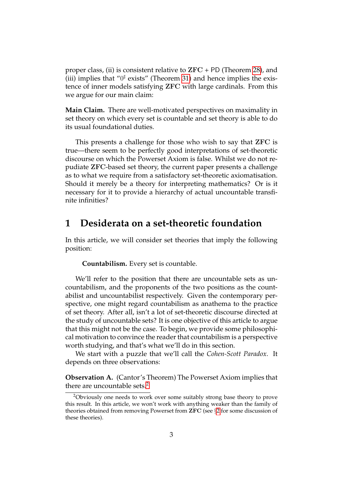proper class, (ii) is consistent relative to  $ZFC + PD$  (Theorem [28\)](#page-27-0), and (iii) implies that " $0^{\sharp}$  exists" (Theorem [31\)](#page-29-0) and hence implies the existence of inner models satisfying ZFC with large cardinals. From this we argue for our main claim:

**Main Claim.** There are well-motivated perspectives on maximality in set theory on which every set is countable and set theory is able to do its usual foundational duties.

This presents a challenge for those who wish to say that ZFC is true—there seem to be perfectly good interpretations of set-theoretic discourse on which the Powerset Axiom is false. Whilst we do not repudiate ZFC-based set theory, the current paper presents a challenge as to what we require from a satisfactory set-theoretic axiomatisation. Should it merely be a theory for interpreting mathematics? Or is it necessary for it to provide a hierarchy of actual uncountable transfinite infinities?

### <span id="page-2-0"></span>**1 Desiderata on a set-theoretic foundation**

In this article, we will consider set theories that imply the following position:

**Countabilism.** Every set is countable.

We'll refer to the position that there are uncountable sets as uncountabilism, and the proponents of the two positions as the countabilist and uncountabilist respectively. Given the contemporary perspective, one might regard countabilism as anathema to the practice of set theory. After all, isn't a lot of set-theoretic discourse directed at the study of uncountable sets? It is one objective of this article to argue that this might not be the case. To begin, we provide some philosophical motivation to convince the reader that countabilism is a perspective worth studying, and that's what we'll do in this section.

We start with a puzzle that we'll call the *Cohen-Scott Paradox*. It depends on three observations:

**Observation A.** (Cantor's Theorem) The Powerset Axiom implies that there are uncountable sets. $2$ 

<span id="page-2-1"></span><sup>2</sup>Obviously one needs to work over some suitably strong base theory to prove this result. In this article, we won't work with anything weaker than the family of theories obtained from removing Powerset from ZFC (see §[2](#page-9-0) for some discussion of these theories).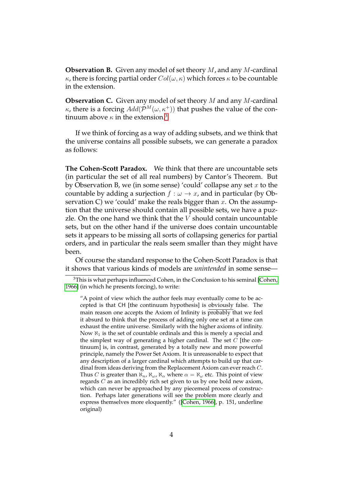**Observation B.** Given any model of set theory M, and any M-cardinal  $κ$ , there is forcing partial order  $Col(ω, κ)$  which forces κ to be countable in the extension.

**Observation C.** Given any model of set theory M and any M-cardinal κ, there is a forcing  $Add(\mathcal{P}^M(\omega,\kappa^+))$  that pushes the value of the continuum above  $\kappa$  in the extension.<sup>[3](#page-3-0)</sup>

If we think of forcing as a way of adding subsets, and we think that the universe contains all possible subsets, we can generate a paradox as follows:

**The Cohen-Scott Paradox.** We think that there are uncountable sets (in particular the set of all real numbers) by Cantor's Theorem. But by Observation B, we (in some sense) 'could' collapse any set  $x$  to the countable by adding a surjection  $f : \omega \to x$ , and in particular (by Observation C) we 'could' make the reals bigger than  $x$ . On the assumption that the universe should contain all possible sets, we have a puzzle. On the one hand we think that the  $V$  should contain uncountable sets, but on the other hand if the universe does contain uncountable sets it appears to be missing all sorts of collapsing generics for partial orders, and in particular the reals seem smaller than they might have been.

Of course the standard response to the Cohen-Scott Paradox is that it shows that various kinds of models are *unintended* in some sense—

<span id="page-3-0"></span><sup>&</sup>lt;sup>3</sup>This is what perhaps influenced Cohen, in the Conclusion to his seminal [\[Cohen,](#page-40-0) [1966\]](#page-40-0) (in which he presents forcing), to write:

<sup>&</sup>quot;A point of view which the author feels may eventually come to be accepted is that CH [the continuum hypothesis] is obviously false. The main reason one accepts the Axiom of Infinity is probably that we feel it absurd to think that the process of adding only one set at a time can exhaust the entire universe. Similarly with the higher axioms of infinity. Now  $\aleph_1$  is the set of countable ordinals and this is merely a special and the simplest way of generating a higher cardinal. The set  $\tilde{C}$  [the continuum] is, in contrast, generated by a totally new and more powerful principle, namely the Power Set Axiom. It is unreasonable to expect that any description of a larger cardinal which attempts to build up that cardinal from ideas deriving from the Replacement Axiom can ever reach C. Thus C is greater than  $\aleph_n$ ,  $\aleph_\alpha$ ,  $\aleph_\alpha$  where  $\alpha = \aleph_\alpha$  etc. This point of view regards C as an incredibly rich set given to us by one bold new axiom, which can never be approached by any piecemeal process of construction. Perhaps later generations will see the problem more clearly and express themselves more eloquently." ([\[Cohen, 1966\]](#page-40-0), p. 151, underline original)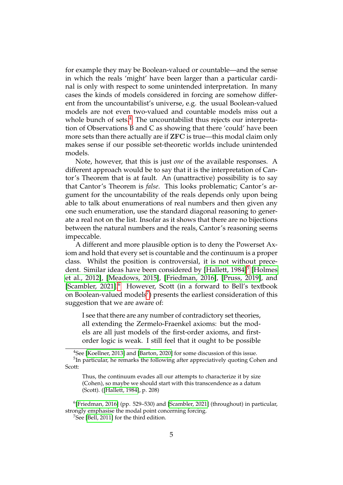for example they may be Boolean-valued or countable—and the sense in which the reals 'might' have been larger than a particular cardinal is only with respect to some unintended interpretation. In many cases the kinds of models considered in forcing are somehow different from the uncountabilist's universe, e.g. the usual Boolean-valued models are not even two-valued and countable models miss out a whole bunch of sets.<sup>[4](#page-4-0)</sup> The uncountabilist thus rejects our interpretation of Observations B and C as showing that there 'could' have been more sets than there actually are if ZFC is true—this modal claim only makes sense if our possible set-theoretic worlds include unintended models.

Note, however, that this is just *one* of the available responses. A different approach would be to say that it is the interpretation of Cantor's Theorem that is at fault. An (unattractive) possibility is to say that Cantor's Theorem is *false*. This looks problematic; Cantor's argument for the uncountability of the reals depends only upon being able to talk about enumerations of real numbers and then given any one such enumeration, use the standard diagonal reasoning to generate a real not on the list. Insofar as it shows that there are no bijections between the natural numbers and the reals, Cantor's reasoning seems impeccable.

A different and more plausible option is to deny the Powerset Axiom and hold that every set is countable and the continuum is a proper class. Whilst the position is controversial, it is not without prece-dent. Similar ideas have been considered by [\[Hallett, 1984\]](#page-41-1)<sup>[5](#page-4-1)</sup> [\[Holmes](#page-41-2) [et al., 2012\]](#page-41-2), [\[Meadows, 2015\]](#page-43-0), [\[Friedman, 2016\]](#page-41-3), [\[Pruss, 2019\]](#page-43-1), and [\[Scambler, 2021\]](#page-43-2).<sup>[6](#page-4-2)</sup> However, Scott (in a forward to Bell's textbook on Boolean-valued models $^7$  $^7$ ) presents the earliest consideration of this suggestion that we are aware of:

I see that there are any number of contradictory set theories, all extending the Zermelo-Fraenkel axioms: but the models are all just models of the first-order axioms, and firstorder logic is weak. I still feel that it ought to be possible

<span id="page-4-1"></span><span id="page-4-0"></span><sup>4</sup>See [\[Koellner, 2013\]](#page-42-0) and [\[Barton, 2020\]](#page-40-1) for some discussion of this issue. <sup>5</sup>In particular, he remarks the following after appreciatively quoting Cohen and Scott:

Thus, the continuum evades all our attempts to characterize it by size (Cohen), so maybe we should start with this transcendence as a datum (Scott). ([\[Hallett, 1984\]](#page-41-1), p. 208)

<span id="page-4-2"></span><sup>6</sup> [\[Friedman, 2016\]](#page-41-3) (pp. 529–530) and [\[Scambler, 2021\]](#page-43-2) (throughout) in particular, strongly emphasise the modal point concerning forcing.

<span id="page-4-3"></span><sup>&</sup>lt;sup>7</sup>See [\[Bell, 2011\]](#page-40-2) for the third edition.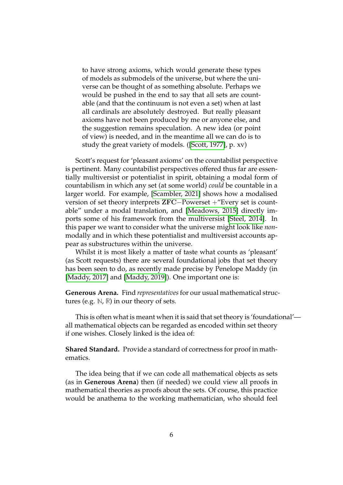to have strong axioms, which would generate these types of models as submodels of the universe, but where the universe can be thought of as something absolute. Perhaps we would be pushed in the end to say that all sets are countable (and that the continuum is not even a set) when at last all cardinals are absolutely destroyed. But really pleasant axioms have not been produced by me or anyone else, and the suggestion remains speculation. A new idea (or point of view) is needed, and in the meantime all we can do is to study the great variety of models. ([\[Scott, 1977\]](#page-43-3), p. xv)

Scott's request for 'pleasant axioms' on the countabilist perspective is pertinent. Many countabilist perspectives offered thus far are essentially multiversist or potentialist in spirit, obtaining a modal form of countabilism in which any set (at some world) *could* be countable in a larger world. For example, [\[Scambler, 2021\]](#page-43-2) shows how a modalised version of set theory interprets ZFC−Powerset +"Every set is countable" under a modal translation, and [\[Meadows, 2015\]](#page-43-0) directly imports some of his framework from the multiversist [\[Steel, 2014\]](#page-43-4). In this paper we want to consider what the universe might look like *non*modally and in which these potentialist and multiversist accounts appear as substructures within the universe.

Whilst it is most likely a matter of taste what counts as 'pleasant' (as Scott requests) there are several foundational jobs that set theory has been seen to do, as recently made precise by Penelope Maddy (in [\[Maddy, 2017\]](#page-42-1) and [\[Maddy, 2019\]](#page-42-2)). One important one is:

**Generous Arena.** Find *representatives*for our usual mathematical structures (e.g. **N**, **R**) in our theory of sets.

This is often what is meant when it is said that set theory is 'foundational' all mathematical objects can be regarded as encoded within set theory if one wishes. Closely linked is the idea of:

**Shared Standard.** Provide a standard of correctness for proof in mathematics.

The idea being that if we can code all mathematical objects as sets (as in **Generous Arena**) then (if needed) we could view all proofs in mathematical theories as proofs about the sets. Of course, this practice would be anathema to the working mathematician, who should feel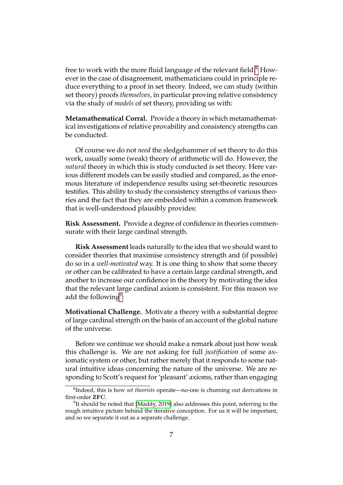free to work with the more fluid language of the relevant field. $8$  However in the case of disagreement, mathematicians could in principle reduce everything to a proof in set theory. Indeed, we can study (within set theory) proofs *themselves*, in particular proving relative consistency via the study of *models* of set theory, providing us with:

**Metamathematical Corral.** Provide a theory in which metamathematical investigations of relative provability and consistency strengths can be conducted.

Of course we do not *need* the sledgehammer of set theory to do this work, usually some (weak) theory of arithmetic will do. However, the *natural* theory in which this is study conducted is set theory. Here various different models can be easily studied and compared, as the enormous literature of independence results using set-theoretic resources testifies. This ability to study the consistency strengths of various theories and the fact that they are embedded within a common framework that is well-understood plausibly provides:

**Risk Assessment.** Provide a degree of confidence in theories commensurate with their large cardinal strength.

**Risk Assessment** leads naturally to the idea that we should want to consider theories that maximise consistency strength and (if possible) do so in a *well-motivated* way. It is one thing to show that some theory or other can be calibrated to have a certain large cardinal strength, and another to increase our confidence in the theory by motivating the idea that the relevant large cardinal axiom is consistent. For this reason we add the following $9$ :

**Motivational Challenge.** Motivate a theory with a substantial degree of large cardinal strength on the basis of an account of the global nature of the universe.

Before we continue we should make a remark about just how weak this challenge is. We are not asking for full *justification* of some axiomatic system or other, but rather merely that it responds to some natural intuitive ideas concerning the nature of the universe. We are responding to Scott's request for 'pleasant' axioms, rather than engaging

<span id="page-6-0"></span><sup>8</sup> Indeed, this is how *set theorists* operate—no-one is churning out derivations in first-order ZFC.

<span id="page-6-1"></span> $9$ It should be noted that [\[Maddy, 2019\]](#page-42-2) also addresses this point, referring to the rough intuitive picture behind the iterative conception. For us it will be important, and so we separate it out as a separate challenge.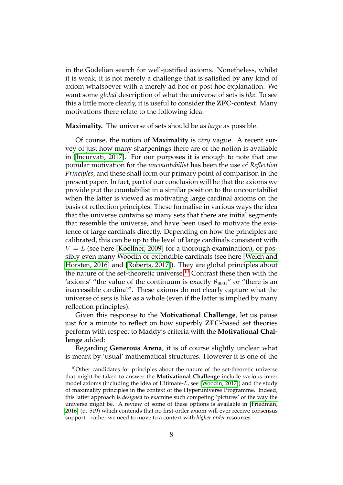in the Gödelian search for well-justified axioms. Nonetheless, whilst it is weak, it is not merely a challenge that is satisfied by any kind of axiom whatsoever with a merely ad hoc or post hoc explanation. We want some *global* description of what the universe of sets is *like*. To see this a little more clearly, it is useful to consider the ZFC-context. Many motivations there relate to the following idea:

**Maximality.** The universe of sets should be as *large* as possible.

Of course, the notion of **Maximality** is *very* vague. A recent survey of just how many sharpenings there are of the notion is available in [\[Incurvati, 2017\]](#page-41-4). For our purposes it is enough to note that one popular motivation for the *uncountabilist* has been the use of *Reflection Principles*, and these shall form our primary point of comparison in the present paper. In fact, part of our conclusion will be that the axioms we provide put the countabilist in a similar position to the uncountabilist when the latter is viewed as motivating large cardinal axioms on the basis of reflection principles. These formalise in various ways the idea that the universe contains so many sets that there are initial segments that resemble the universe, and have been used to motivate the existence of large cardinals directly. Depending on how the principles are calibrated, this can be up to the level of large cardinals consistent with  $V = L$  (see here [\[Koellner, 2009\]](#page-42-3) for a thorough examination), or possibly even many Woodin or extendible cardinals (see here [\[Welch and](#page-44-0) [Horsten, 2016\]](#page-44-0) and [\[Roberts, 2017\]](#page-43-5)). They are global principles about the nature of the set-theoretic universe.<sup>[10](#page-7-0)</sup> Contrast these then with the 'axioms' "the value of the continuum is exactly  $\aleph_{9001}$ " or "there is an inaccessible cardinal". These axioms do not clearly capture what the universe of sets is like as a whole (even if the latter is implied by many reflection principles).

Given this response to the **Motivational Challenge**, let us pause just for a minute to reflect on how superbly ZFC-based set theories perform with respect to Maddy's criteria with the **Motivational Challenge** added:

Regarding **Generous Arena**, it is of course slightly unclear what is meant by 'usual' mathematical structures. However it is one of the

<span id="page-7-0"></span><sup>&</sup>lt;sup>10</sup>Other candidates for principles about the nature of the set-theoretic universe that might be taken to answer the **Motivational Challenge** include various inner model axioms (including the idea of Ultimate- $L$ , see [\[Woodin, 2017\]](#page-44-1)) and the study of maximality principles in the context of the Hyperuniverse Programme. Indeed, this latter approach is *designed* to examine such competing 'pictures' of the way the universe might be. A review of some of these options is available in [\[Friedman,](#page-41-3) [2016\]](#page-41-3) (p. 519) which contends that no first-order axiom will ever receive consensus support—rather we need to move to a context with *higher-order* resources.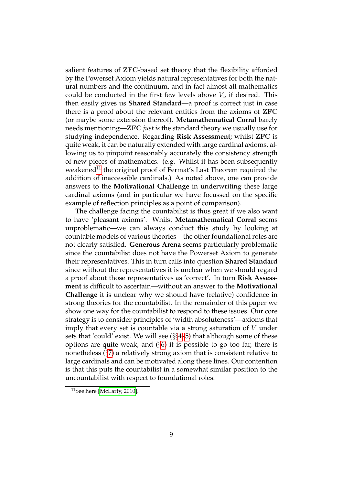salient features of ZFC-based set theory that the flexibility afforded by the Powerset Axiom yields natural representatives for both the natural numbers and the continuum, and in fact almost all mathematics could be conducted in the first few levels above  $V_{\omega}$  if desired. This then easily gives us **Shared Standard**—a proof is correct just in case there is a proof about the relevant entities from the axioms of ZFC (or maybe some extension thereof). **Metamathematical Corral** barely needs mentioning—ZFC *just is* the standard theory we usually use for studying independence. Regarding **Risk Assessment**; whilst ZFC is quite weak, it can be naturally extended with large cardinal axioms, allowing us to pinpoint reasonably accurately the consistency strength of new pieces of mathematics. (e.g. Whilst it has been subsequently weakened<sup>[11](#page-8-0)</sup> the original proof of Fermat's Last Theorem required the addition of inaccessible cardinals.) As noted above, one can provide answers to the **Motivational Challenge** in underwriting these large cardinal axioms (and in particular we have focussed on the specific example of reflection principles as a point of comparison).

The challenge facing the countabilist is thus great if we also want to have 'pleasant axioms'. Whilst **Metamathematical Corral** seems unproblematic—we can always conduct this study by looking at countable models of various theories—the other foundational roles are not clearly satisfied. **Generous Arena** seems particularly problematic since the countabilist does not have the Powerset Axiom to generate their representatives. This in turn calls into question **Shared Standard** since without the representatives it is unclear when we should regard a proof about those representatives as 'correct'. In turn **Risk Assessment** is difficult to ascertain—without an answer to the **Motivational Challenge** it is unclear why we should have (relative) confidence in strong theories for the countabilist. In the remainder of this paper we show one way for the countabilist to respond to these issues. Our core strategy is to consider principles of 'width absoluteness'—axioms that imply that every set is countable via a strong saturation of  $V$  under sets that 'could' exist. We will see (§§[4–](#page-13-0)[5\)](#page-16-0) that although some of these options are quite weak, and  $(\S6)$  $(\S6)$  it is possible to go too far, there is nonetheless (§[7\)](#page-26-0) a relatively strong axiom that is consistent relative to large cardinals and can be motivated along these lines. Our contention is that this puts the countabilist in a somewhat similar position to the uncountabilist with respect to foundational roles.

<span id="page-8-0"></span><sup>11</sup>See here [\[McLarty, 2010\]](#page-43-6).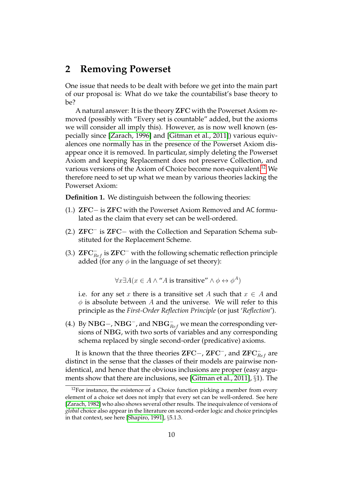### <span id="page-9-0"></span>**2 Removing Powerset**

One issue that needs to be dealt with before we get into the main part of our proposal is: What do we take the countabilist's base theory to be?

A natural answer: It is the theory ZFC with the Powerset Axiom removed (possibly with "Every set is countable" added, but the axioms we will consider all imply this). However, as is now well known (especially since [\[Zarach, 1996\]](#page-44-2) and [\[Gitman et al., 2011\]](#page-41-5)) various equivalences one normally has in the presence of the Powerset Axiom disappear once it is removed. In particular, simply deleting the Powerset Axiom and keeping Replacement does not preserve Collection, and various versions of the Axiom of Choice become non-equivalent.<sup>[12](#page-9-1)</sup> We therefore need to set up what we mean by various theories lacking the Powerset Axiom:

**Definition 1.** We distinguish between the following theories:

- (1.) ZFC− is ZFC with the Powerset Axiom Removed and AC formulated as the claim that every set can be well-ordered.
- (2.) ZFC<sup>−</sup> is ZFC− with the Collection and Separation Schema substituted for the Replacement Scheme.
- (3.)  $\text{ZFC}_{Ref}^-$  is  $\text{ZFC}^-$  with the following schematic reflection principle added (for any  $\phi$  in the language of set theory):

 $\forall x \exists A (x \in A \land \text{``}A \text{ is transitive''} \land \phi \leftrightarrow \phi^A)$ 

i.e. for any set x there is a transitive set A such that  $x \in A$  and  $\phi$  is absolute between A and the universe. We will refer to this principle as the *First-Order Reflection Principle* (or just '*Reflection*').

(4.) By  $\rm NBG-$ ,  $\rm NBG^-$ , and  $\rm NBG^-_{\it Ref}$  we mean the corresponding versions of NBG, with two sorts of variables and any corresponding schema replaced by single second-order (predicative) axioms.

It is known that the three theories  ${\rm ZFC}-$ ,  ${\rm ZFC}^-$ , and  ${\rm ZFC}_{Ref}^-$  are distinct in the sense that the classes of their models are pairwise nonidentical, and hence that the obvious inclusions are proper (easy arguments show that there are inclusions, see [\[Gitman et al., 2011\]](#page-41-5), §1). The

<span id="page-9-1"></span> $12$ For instance, the existence of a Choice function picking a member from every element of a choice set does not imply that every set can be well-ordered. See here [\[Zarach, 1982\]](#page-44-3) who also shows several other results. The inequivalence of versions of *global* choice also appear in the literature on second-order logic and choice principles in that context, see here [\[Shapiro, 1991\]](#page-43-7), §5.1.3.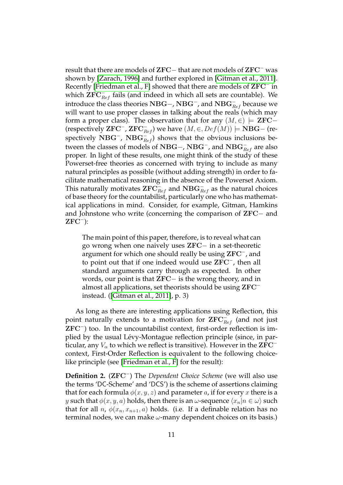result that there are models of ZFC− that are not models of ZFC<sup>−</sup> was shown by [\[Zarach, 1996\]](#page-44-2) and further explored in [\[Gitman et al., 2011\]](#page-41-5). Recently [\[Friedman et al., F\]](#page-41-6) showed that there are models of  ${\rm ZFC^-}$  in which  $\mathbf{ZFC}_{Ref}^-$  fails (and indeed in which all sets are countable). We introduce the class theories  $\mathrm{NBG}-$ ,  $\mathrm{NBG}^-$ , and  $\mathrm{NBG}^-_{Ref}$  because we will want to use proper classes in talking about the reals (which may form a proper class). The observation that for any  $(M, \in) \models$  **ZFC**-(respectively  $\mathbf{ZFC}^-$ ,  $\mathbf{ZFC}_{Ref}^-$ ) we have  $(M,\in,Def(M))\models\mathbf{NBG}-$  (respectively NBG<sup>-</sup>, NBG $_{Ref}^-$ ) shows that the obvious inclusions between the classes of models of NBG−, NBG<sup>−</sup>, and NBG $_{Ref}^-$  are also proper. In light of these results, one might think of the study of these Powerset-free theories as concerned with trying to include as many natural principles as possible (without adding strength) in order to facilitate mathematical reasoning in the absence of the Powerset Axiom. This naturally motivates  $\operatorname{ZFC}^-_{Ref}$  and  $\operatorname{NBG}^-_{Ref}$  as the natural choices of base theory for the countabilist, particularly one who has mathematical applications in mind. Consider, for example, Gitman, Hamkins and Johnstone who write (concerning the comparison of ZFC− and  ${\rm ZFC}^-$ ):

The main point of this paper, therefore, is to reveal what can go wrong when one naively uses ZFC− in a set-theoretic argument for which one should really be using  $\rm ZFC^+$ , and to point out that if one indeed would use ZFC<sup>-</sup>, then all standard arguments carry through as expected. In other words, our point is that **ZFC**− is the wrong theory, and in almost all applications, set theorists should be using  $ZFC^$ instead. ([\[Gitman et al., 2011\]](#page-41-5), p. 3)

As long as there are interesting applications using Reflection, this point naturally extends to a motivation for  $\operatorname{ZFC}_{Ref}^-$  (and not just ZFC<sup>−</sup> ) too. In the uncountabilist context, first-order reflection is implied by the usual Lévy-Montague reflection principle (since, in particular, any  $V_{\alpha}$  to which we reflect is transitive). However in the  ${\rm ZFC}^$ context, First-Order Reflection is equivalent to the following choicelike principle (see [\[Friedman et al., F\]](#page-41-6) for the result):

**Definition 2.** (ZFC<sup>−</sup> ) The *Dependent Choice Scheme* (we will also use the terms 'DC-Scheme' and 'DCS') is the scheme of assertions claiming that for each formula  $\phi(x, y, z)$  and parameter a, if for every x there is a y such that  $\phi(x, y, a)$  holds, then there is an  $\omega$ -sequence  $\langle x_n|n \in \omega \rangle$  such that for all *n*,  $\phi(x_n, x_{n+1}, a)$  holds. (i.e. If a definable relation has no terminal nodes, we can make  $\omega$ -many dependent choices on its basis.)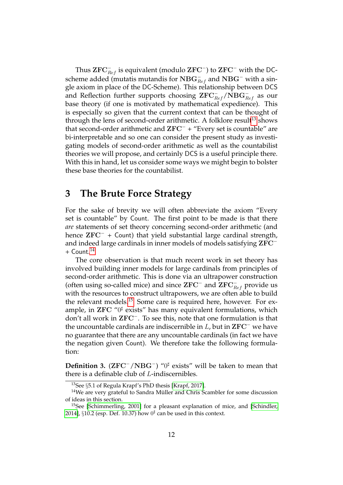Thus  $\operatorname{\mathbf{ZFC}}^-_{Ref}$  is equivalent (modulo  $\operatorname{\mathbf{ZFC}}^-$ ) to  $\operatorname{\mathbf{ZFC}}^-$  with the DCscheme added (mutatis mutandis for  $\mathrm{NBG}_{Ref}^-$  and  $\mathrm{NBG}^-$  with a single axiom in place of the DC-Scheme). This relationship between DCS and Reflection further supports choosing  $\operatorname{ZFC}_{Ref}^-/\bar{\operatorname{NBG}}_{Ref}^-$  as our base theory (if one is motivated by mathematical expedience). This is especially so given that the current context that can be thought of through the lens of second-order arithmetic. A folklore result<sup>[13](#page-11-1)</sup> shows that second-order arithmetic and  $ZFC^-$  + "Every set is countable" are bi-interpretable and so one can consider the present study as investigating models of second-order arithmetic as well as the countabilist theories we will propose, and certainly DCS is a useful principle there. With this in hand, let us consider some ways we might begin to bolster these base theories for the countabilist.

### <span id="page-11-0"></span>**3 The Brute Force Strategy**

For the sake of brevity we will often abbreviate the axiom "Every set is countable" by Count. The first point to be made is that there *are* statements of set theory concerning second-order arithmetic (and hence  $ZFC^-$  + Count) that yield substantial large cardinal strength, and indeed large cardinals in inner models of models satisfying ZFC<sup>−</sup>  $+$  Count.<sup>[14](#page-11-2)</sup>

The core observation is that much recent work in set theory has involved building inner models for large cardinals from principles of second-order arithmetic. This is done via an ultrapower construction (often using so-called mice) and since  $\mathbf{ZFC}^-$  and  $\mathbf{ZFC}_{Ref}^-$  provide us with the resources to construct ultrapowers, we are often able to build the relevant models.[15](#page-11-3) Some care is required here, however. For example, in  ${\rm ZFC}$  " $0^\sharp$  exists" has many equivalent formulations, which don't all work in ZFC<sup>−</sup> . To see this, note that one formulation is that the uncountable cardinals are indiscernible in  $L$ , but in  $\mathbf{ZFC}^-$  we have no guarantee that there are any uncountable cardinals (in fact we have the negation given Count). We therefore take the following formulation:

<span id="page-11-4"></span>**Definition 3.** (ZFC<sup>-</sup>/NBG<sup>-</sup>) "0<sup>‡</sup> exists" will be taken to mean that there is a definable club of L-indiscernibles.

<span id="page-11-2"></span><span id="page-11-1"></span><sup>13</sup>See §5.1 of Regula Krapf's PhD thesis [\[Krapf, 2017\]](#page-42-4).

 $14$ We are very grateful to Sandra Müller and Chris Scambler for some discussion of ideas in this section.

<span id="page-11-3"></span><sup>&</sup>lt;sup>15</sup>See [\[Schimmerling, 2001\]](#page-43-8) for a pleasant explanation of mice, and [\[Schindler,](#page-43-9) [2014\]](#page-43-9),  $\S 10.2$  (esp. Def. 10.37) how  $0^{\sharp}$  can be used in this context.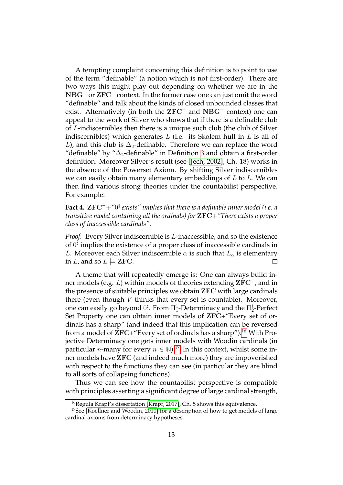A tempting complaint concerning this definition is to point to use of the term "definable" (a notion which is not first-order). There are two ways this might play out depending on whether we are in the NBG<sup>-</sup> or ZFC<sup>-</sup> context. In the former case one can just omit the word "definable" and talk about the kinds of closed unbounded classes that exist. Alternatively (in both the  $ZFC^-$  and  $NBG^-$  context) one can appeal to the work of Silver who shows that if there is a definable club of L-indiscernibles then there is a unique such club (the club of Silver indiscernibles) which generates L (i.e. its Skolem hull in L is all of L), and this club is  $\Delta_2$ -definable. Therefore we can replace the word "definable" by " $\Delta_2$ -definable" in Definition [3](#page-11-4) and obtain a first-order definition. Moreover Silver's result (see [\[Jech, 2002\]](#page-41-7), Ch. 18) works in the absence of the Powerset Axiom. By shifting Silver indiscernibles we can easily obtain many elementary embeddings of  $L$  to  $L$ . We can then find various strong theories under the countabilist perspective. For example:

**Fact 4.** ZFC<sup>−</sup>+*"*0 ] *exists" implies that there is a definable inner model (i.e. a transitive model containing all the ordinals) for* ZFC+*"There exists a proper class of inaccessible cardinals".*

*Proof.* Every Silver indiscernible is L-inaccessible, and so the existence of  $0^{\sharp}$  implies the existence of a proper class of inaccessible cardinals in L. Moreover each Silver indiscernible  $\alpha$  is such that  $L_{\alpha}$  is elementary in L, and so  $L \models$  **ZFC**.  $\Box$ 

A theme that will repeatedly emerge is: One can always build inner models (e.g.  $L$ ) within models of theories extending  ${\rm ZFC^-}$ , and in the presence of suitable principles we obtain ZFC with large cardinals there (even though  $V$  thinks that every set is countable). Moreover, one can easily go beyond  $0^{\sharp}$ . From  $\Pi^1_1$ -Determinacy and the  $\Pi^1_2$ -Perfect Set Property one can obtain inner models of ZFC+"Every set of ordinals has a sharp" (and indeed that this implication can be reversed from a model of  $ZFC+$  Every set of ordinals has a sharp").<sup>[16](#page-12-0)</sup> With Projective Determinacy one gets inner models with Woodin cardinals (in particular *n*-many for every  $n \in \mathbb{N}$ .<sup>[17](#page-12-1)</sup> In this context, whilst some inner models have ZFC (and indeed much more) they are impoverished with respect to the functions they can see (in particular they are blind to all sorts of collapsing functions).

Thus we can see how the countabilist perspective is compatible with principles asserting a significant degree of large cardinal strength,

<span id="page-12-1"></span><span id="page-12-0"></span><sup>&</sup>lt;sup>16</sup>Regula Krapf's dissertation [\[Krapf, 2017\]](#page-42-4), Ch. 5 shows this equivalence.

<sup>&</sup>lt;sup>17</sup>See [\[Koellner and Woodin, 2010\]](#page-42-5) for a description of how to get models of large cardinal axioms from determinacy hypotheses.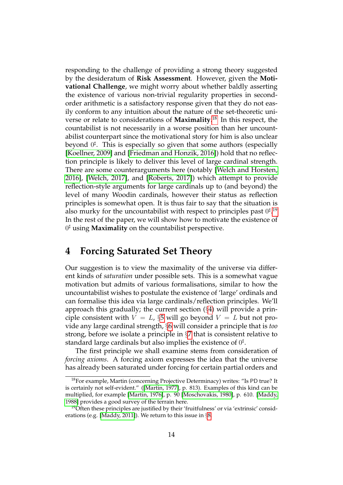responding to the challenge of providing a strong theory suggested by the desideratum of **Risk Assessment**. However, given the **Motivational Challenge**, we might worry about whether baldly asserting the existence of various non-trivial regularity properties in secondorder arithmetic is a satisfactory response given that they do not easily conform to any intuition about the nature of the set-theoretic universe or relate to considerations of **Maximality**. [18](#page-13-1) In this respect, the countabilist is not necessarily in a worse position than her uncountabilist counterpart since the motivational story for him is also unclear beyond  $0^{\sharp}$ . This is especially so given that some authors (especially [\[Koellner, 2009\]](#page-42-3) and [\[Friedman and Honzik, 2016\]](#page-41-8)) hold that no reflection principle is likely to deliver this level of large cardinal strength. There are some counterarguments here (notably [\[Welch and Horsten,](#page-44-0) [2016\]](#page-44-0), [\[Welch, 2017\]](#page-43-10), and [\[Roberts, 2017\]](#page-43-5)) which attempt to provide reflection-style arguments for large cardinals up to (and beyond) the level of many Woodin cardinals, however their status as reflection principles is somewhat open. It is thus fair to say that the situation is also murky for the uncountabilist with respect to principles past  $0^{\sharp}$ .<sup>[19](#page-13-2)</sup> In the rest of the paper, we will show how to motivate the existence of 0 ] using **Maximality** on the countabilist perspective.

## <span id="page-13-0"></span>**4 Forcing Saturated Set Theory**

Our suggestion is to view the maximality of the universe via different kinds of *saturation* under possible sets. This is a somewhat vague motivation but admits of various formalisations, similar to how the uncountabilist wishes to postulate the existence of 'large' ordinals and can formalise this idea via large cardinals/reflection principles. We'll approach this gradually; the current section  $(\S 4)$  $(\S 4)$  will provide a principle consistent with  $V = L$ , §[5](#page-16-0) will go beyond  $V = L$  but not provide any large cardinal strength, §[6](#page-21-0) will consider a principle that is *too* strong, before we isolate a principle in §[7](#page-26-0) that is consistent relative to standard large cardinals but also implies the existence of  $0^\sharp.$ 

The first principle we shall examine stems from consideration of *forcing axioms*. A forcing axiom expresses the idea that the universe has already been saturated under forcing for certain partial orders and

<span id="page-13-1"></span><sup>18</sup>For example, Martin (concerning Projective Determinacy) writes: "Is PD true? It is certainly not self-evident." ([\[Martin, 1977\]](#page-43-11), p. 813). Examples of this kind can be multiplied, for example [\[Martin, 1976\]](#page-43-12), p. 90 [\[Moschovakis, 1980\]](#page-43-13), p. 610. [\[Maddy,](#page-42-6) [1988\]](#page-42-6) provides a good survey of the terrain here.

<span id="page-13-2"></span><sup>&</sup>lt;sup>19</sup>Often these principles are justified by their 'fruitfulness' or via 'extrinsic' considerations (e.g. [\[Maddy, 2011\]](#page-42-7)). We return to this issue in §[8.](#page-33-0)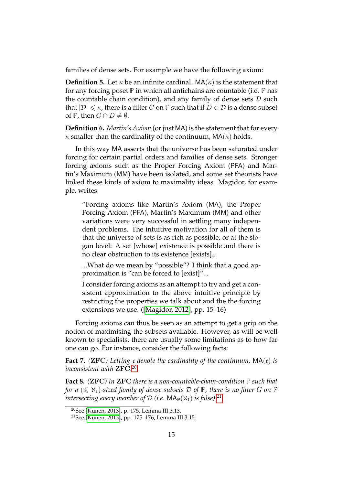families of dense sets. For example we have the following axiom:

**Definition 5.** Let  $\kappa$  be an infinite cardinal. MA( $\kappa$ ) is the statement that for any forcing poset **P** in which all antichains are countable (i.e. **P** has the countable chain condition), and any family of dense sets  $D$  such that  $|\mathcal{D}| \leq \kappa$ , there is a filter G on **P** such that if  $D \in \mathcal{D}$  is a dense subset of  $\mathbb{P}$ , then  $G \cap D \neq \emptyset$ .

**Definition 6.** *Martin's Axiom* (or just MA) is the statement that for every  $\kappa$  smaller than the cardinality of the continuum, MA( $\kappa$ ) holds.

In this way MA asserts that the universe has been saturated under forcing for certain partial orders and families of dense sets. Stronger forcing axioms such as the Proper Forcing Axiom (PFA) and Martin's Maximum (MM) have been isolated, and some set theorists have linked these kinds of axiom to maximality ideas. Magidor, for example, writes:

"Forcing axioms like Martin's Axiom (MA), the Proper Forcing Axiom (PFA), Martin's Maximum (MM) and other variations were very successful in settling many independent problems. The intuitive motivation for all of them is that the universe of sets is as rich as possible, or at the slogan level: A set [whose] existence is possible and there is no clear obstruction to its existence [exists]...

...What do we mean by "possible"? I think that a good approximation is "can be forced to [exist]"...

I consider forcing axioms as an attempt to try and get a consistent approximation to the above intuitive principle by restricting the properties we talk about and the the forcing extensions we use. ([\[Magidor, 2012\]](#page-42-8), pp. 15–16)

Forcing axioms can thus be seen as an attempt to get a grip on the notion of maximising the subsets available. However, as will be well known to specialists, there are usually some limitations as to how far one can go. For instance, consider the following facts:

**Fact 7.** *(*ZFC*) Letting* c *denote the cardinality of the continuum,* MA(c) *is inconsistent with* ZFC*.* [20](#page-14-0)

**Fact 8.** *(*ZFC*) In* ZFC *there is a non-countable-chain-condition* **P** *such that for a*  $(\leq \aleph_1)$ -sized family of dense subsets D of P, there is no filter G on P *intersecting every member of*  $D$  *(i.e.*  $MA_{\mathbb{P}}(\aleph_1)$  *is false).*<sup>[21](#page-14-1)</sup>

<span id="page-14-0"></span><sup>20</sup>See [\[Kunen, 2013\]](#page-42-9), p. 175, Lemma III.3.13.

<span id="page-14-1"></span><sup>21</sup>See [\[Kunen, 2013\]](#page-42-9), pp. 175–176, Lemma III.3.15.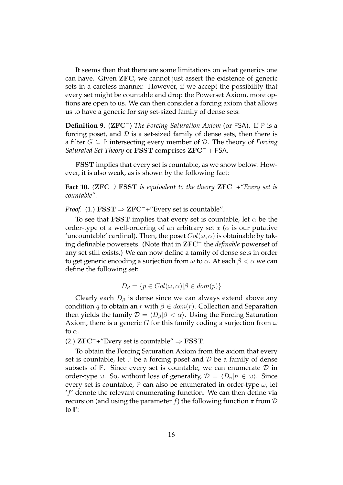It seems then that there are some limitations on what generics one can have. Given ZFC, we cannot just assert the existence of generic sets in a careless manner. However, if we accept the possibility that every set might be countable and drop the Powerset Axiom, more options are open to us. We can then consider a forcing axiom that allows us to have a generic for *any* set-sized family of dense sets:

**Definition 9.** (ZFC<sup>−</sup> ) *The Forcing Saturation Axiom* (or FSA). If **P** is a forcing poset, and  $D$  is a set-sized family of dense sets, then there is a filter G ⊆ **P** intersecting every member of D. The theory of *Forcing Saturated Set Theory* or FSST comprises ZFC<sup>−</sup> + FSA.

FSST implies that every set is countable, as we show below. However, it is also weak, as is shown by the following fact:

<span id="page-15-0"></span>**Fact 10.** *(*ZFC<sup>−</sup> *)* FSST *is equivalent to the theory* ZFC<sup>−</sup>*+"Every set is countable".*

*Proof.* (1.) **FSST**  $\Rightarrow$  **ZFC**<sup> $-$ </sup>+"Every set is countable".

To see that FSST implies that every set is countable, let  $\alpha$  be the order-type of a well-ordering of an arbitrary set x ( $\alpha$  is our putative 'uncountable' cardinal). Then, the poset  $Col(\omega, \alpha)$  is obtainable by taking definable powersets. (Note that in ZFC<sup>−</sup> the *definable* powerset of any set still exists.) We can now define a family of dense sets in order to get generic encoding a surjection from  $\omega$  to  $\alpha$ . At each  $\beta < \alpha$  we can define the following set:

$$
D_{\beta} = \{ p \in Col(\omega, \alpha) | \beta \in dom(p) \}
$$

Clearly each  $D_\beta$  is dense since we can always extend above any condition q to obtain an r with  $\beta \in dom(r)$ . Collection and Separation then yields the family  $\mathcal{D} = \langle D_\beta | \beta \langle \alpha \rangle$ . Using the Forcing Saturation Axiom, there is a generic G for this family coding a surjection from  $\omega$ to  $\alpha$ .

(2.)  $ZFC^-+$ "Every set is countable"  $\Rightarrow$  FSST.

To obtain the Forcing Saturation Axiom from the axiom that every set is countable, let  $\mathbb P$  be a forcing poset and  $\mathcal D$  be a family of dense subsets of  $\mathbb{P}$ . Since every set is countable, we can enumerate  $\mathcal D$  in order-type  $\omega$ . So, without loss of generality,  $\mathcal{D} = \langle D_n|n \in \omega \rangle$ . Since every set is countable,  $\mathbb P$  can also be enumerated in order-type  $\omega$ , let  $'f'$  denote the relevant enumerating function. We can then define via recursion (and using the parameter f) the following function  $\pi$  from  $\mathcal D$ to **P**: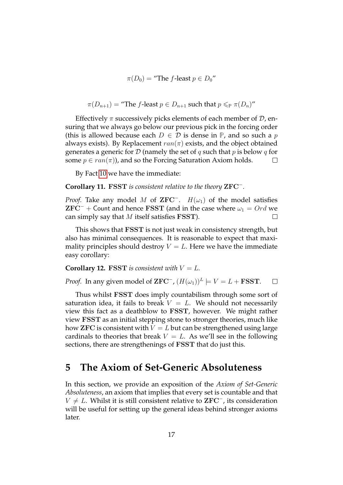$$
\pi(D_0) = \text{``The } f\text{-least } p \in D_0\text{''}
$$

$$
\pi(D_{n+1}) = \text{``The } f\text{-least } p \in D_{n+1} \text{ such that } p \leqslant_P \pi(D_n) \text{''}
$$

Effectively  $\pi$  successively picks elements of each member of  $\mathcal{D}$ , ensuring that we always go below our previous pick in the forcing order (this is allowed because each  $D \in \mathcal{D}$  is dense in  $\mathbb{P}$ , and so such a p always exists). By Replacement  $ran(\pi)$  exists, and the object obtained generates a generic for D (namely the set of q such that p is below q for some  $p \in ran(\pi)$ , and so the Forcing Saturation Axiom holds.  $\Box$ 

By Fact [10](#page-15-0) we have the immediate:

**Corollary 11.** FSST *is consistent relative to the theory* ZFC<sup>−</sup> *.*

*Proof.* Take any model M of  $\mathbf{ZFC}^-$ .  $H(\omega_1)$  of the model satisfies  ${\bf ZFC}^-$  + Count and hence FSST (and in the case where  $\omega_1 = Ord$  we can simply say that  $M$  itself satisfies FSST).  $\Box$ 

This shows that FSST is not just weak in consistency strength, but also has minimal consequences. It is reasonable to expect that maximality principles should destroy  $V = L$ . Here we have the immediate easy corollary:

**Corollary 12.** FSST *is consistent with*  $V = L$ *.* 

*Proof.* In any given model of  $\mathbf{ZFC}^-$ ,  $(H(\omega_1))^L \models V = L + \mathbf{FSST}$ .  $\Box$ 

Thus whilst FSST does imply countabilism through some sort of saturation idea, it fails to break  $V = L$ . We should not necessarily view this fact as a deathblow to FSST, however. We might rather view FSST as an initial stepping stone to stronger theories, much like how ZFC is consistent with  $V = L$  but can be strengthened using large cardinals to theories that break  $V = L$ . As we'll see in the following sections, there are strengthenings of FSST that do just this.

### <span id="page-16-0"></span>**5 The Axiom of Set-Generic Absoluteness**

In this section, we provide an exposition of the *Axiom of Set-Generic Absoluteness*, an axiom that implies that every set is countable and that  $V \neq L$ . Whilst it is still consistent relative to ZFC<sup>-</sup>, its consideration will be useful for setting up the general ideas behind stronger axioms later.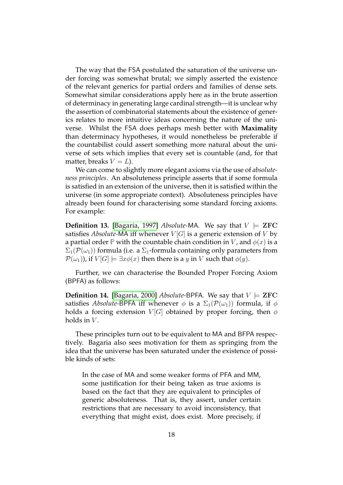The way that the FSA postulated the saturation of the universe under forcing was somewhat brutal; we simply asserted the existence of the relevant generics for partial orders and families of dense sets. Somewhat similar considerations apply here as in the brute assertion of determinacy in generating large cardinal strength—it is unclear why the assertion of combinatorial statements about the existence of generics relates to more intuitive ideas concerning the nature of the universe. Whilst the FSA does perhaps mesh better with **Maximality** than determinacy hypotheses, it would nonetheless be preferable if the countabilist could assert something more natural about the universe of sets which implies that every set is countable (and, for that matter, breaks  $V = L$ ).

We can come to slightly more elegant axioms via the use of *absoluteness principles*. An absoluteness principle asserts that if some formula is satisfied in an extension of the universe, then it is satisfied within the universe (in some appropriate context). Absoluteness principles have already been found for characterising some standard forcing axioms. For example:

**Definition 13.** [\[Bagaria, 1997\]](#page-40-3) *Absolute-MA*. We say that  $V \models$  **ZFC** satisfies *Absolute-MA* iff whenever  $V[G]$  is a generic extension of V by a partial order **P** with the countable chain condition in V, and  $\phi(x)$  is a  $\Sigma_1(\mathcal{P}(\omega_1))$  formula (i.e. a  $\Sigma_1$ -formula containing only parameters from  $\mathcal{P}(\omega_1)$ , if  $V[G] \models \exists x \phi(x)$  then there is a y in V such that  $\phi(y)$ .

Further, we can characterise the Bounded Proper Forcing Axiom (BPFA) as follows:

**Definition 14.** [\[Bagaria, 2000\]](#page-40-4) *Absolute-BPFA*. We say that  $V \models \text{ZFC}$ satisfies *Absolute-BPFA* iff whenever  $\phi$  is a  $\Sigma_1(\mathcal{P}(\omega_1))$  formula, if  $\phi$ holds a forcing extension  $V[G]$  obtained by proper forcing, then  $\phi$ holds in  $V$ .

These principles turn out to be equivalent to MA and BFPA respectively. Bagaria also sees motivation for them as springing from the idea that the universe has been saturated under the existence of possible kinds of sets:

In the case of MA and some weaker forms of PFA and MM, some justification for their being taken as true axioms is based on the fact that they are equivalent to principles of generic absoluteness. That is, they assert, under certain restrictions that are necessary to avoid inconsistency, that everything that might exist, does exist. More precisely, if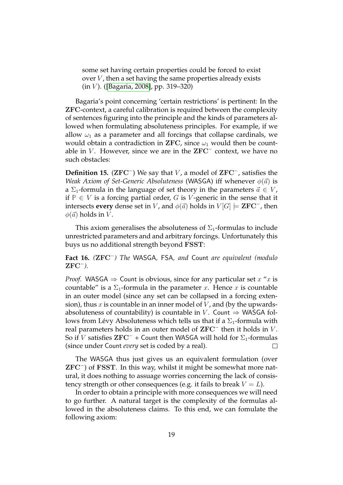some set having certain properties could be forced to exist over  $V$ , then a set having the same properties already exists  $(in V)$ . ([\[Bagaria, 2008\]](#page-40-5), pp. 319–320)

Bagaria's point concerning 'certain restrictions' is pertinent: In the ZFC-context, a careful calibration is required between the complexity of sentences figuring into the principle and the kinds of parameters allowed when formulating absoluteness principles. For example, if we allow  $\omega_1$  as a parameter and all forcings that collapse cardinals, we would obtain a contradiction in ZFC, since  $\omega_1$  would then be countable in V. However, since we are in the  ${\rm ZFC}^-$  context, we have no such obstacles:

Definition 15. (ZFC<sup>-</sup>) We say that *V*, a model of ZFC<sup>-</sup>, satisfies the *Weak Axiom of Set-Generic Absoluteness* (WASGA) iff whenever  $\phi(\vec{a})$  is a  $\Sigma_1$ -formula in the language of set theory in the parameters  $\vec{a} \in V$ , if  $P$  ∈ *V* is a forcing partial order, *G* is *V*-generic in the sense that it intersects **every** dense set in V, and  $\phi(\vec{a})$  holds in  $V[G] \models \mathbf{ZFC}^-$ , then  $\phi(\vec{a})$  holds in V.

This axiom generalises the absoluteness of  $\Sigma_1$ -formulas to include unrestricted parameters and and arbitrary forcings. Unfortunately this buys us no additional strength beyond FSST:

**Fact 16.** *(*ZFC<sup>−</sup> *) The* WASGA*,* FSA*, and* Count *are equivalent (modulo* ZFC<sup>−</sup> *).*

*Proof.* WASGA  $\Rightarrow$  Count is obvious, since for any particular set x "x is countable" is a  $\Sigma_1$ -formula in the parameter x. Hence x is countable in an outer model (since any set can be collapsed in a forcing extension), thus  $x$  is countable in an inner model of  $V$ , and (by the upwardsabsoluteness of countability) is countable in V. Count  $\Rightarrow$  WASGA follows from Lévy Absoluteness which tells us that if a  $\Sigma_1$ -formula with real parameters holds in an outer model of  $\mathbf{ZFC}^-$  then it holds in V. So if V satisfies  $\mathbf{ZFC}^-$  + Count then WASGA will hold for  $\Sigma_1$ -formulas (since under Count *every* set is coded by a real). П

The WASGA thus just gives us an equivalent formulation (over ZFC<sup>−</sup> ) of FSST. In this way, whilst it might be somewhat more natural, it does nothing to assuage worries concerning the lack of consistency strength or other consequences (e.g. it fails to break  $V = L$ ).

In order to obtain a principle with more consequences we will need to go further. A natural target is the complexity of the formulas allowed in the absoluteness claims. To this end, we can fomulate the following axiom: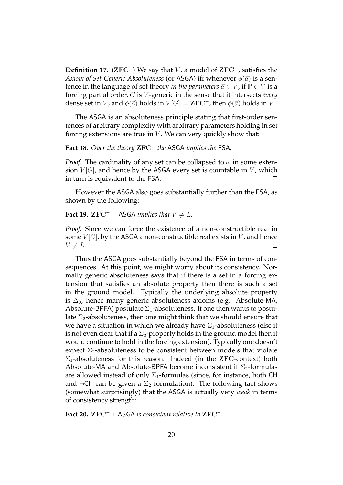Definition 17. (ZFC<sup>-</sup>) We say that *V*, a model of ZFC<sup>-</sup>, satisfies the *Axiom of Set-Generic Absoluteness* (or ASGA) iff whenever  $\phi(\vec{a})$  is a sentence in the language of set theory *in the parameters*  $\vec{a} \in V$ , if  $P \in V$  is a forcing partial order, G is V -generic in the sense that it intersects *every* dense set in V, and  $\phi(\vec{a})$  holds in  $V[G] \models \mathbf{ZFC}^-$ , then  $\phi(\vec{a})$  holds in V.

The ASGA is an absoluteness principle stating that first-order sentences of arbitrary complexity with arbitrary parameters holding in set forcing extensions are true in  $V$ . We can very quickly show that:

### **Fact 18.** *Over the theory* ZFC<sup>−</sup> *the* ASGA *implies the* FSA*.*

*Proof.* The cardinality of any set can be collapsed to  $\omega$  in some extension  $V[G]$ , and hence by the ASGA every set is countable in V, which in turn is equivalent to the FSA. П

However the ASGA also goes substantially further than the FSA, as shown by the following:

#### **Fact 19.** ZFC<sup> $-$ </sup> + ASGA *implies that*  $V \neq L$ *.*

*Proof.* Since we can force the existence of a non-constructible real in some  $V[G]$ , by the ASGA a non-constructible real exists in V, and hence  $V \neq L$ . П

Thus the ASGA goes substantially beyond the FSA in terms of consequences. At this point, we might worry about its consistency. Normally generic absoluteness says that if there is a set in a forcing extension that satisfies an absolute property then there is such a set in the ground model. Typically the underlying absolute property is  $\Delta_0$ , hence many generic absoluteness axioms (e.g. Absolute-MA, Absolute-BPFA) postulate  $\Sigma_1$ -absoluteness. If one then wants to postulate  $\Sigma_2$ -absoluteness, then one might think that we should ensure that we have a situation in which we already have  $\Sigma_1$ -absoluteness (else it is not even clear that if a  $\Sigma_2$ -property holds in the ground model then it would continue to hold in the forcing extension). Typically one doesn't expect  $\Sigma_2$ -absoluteness to be consistent between models that violate  $\Sigma_1$ -absoluteness for this reason. Indeed (in the ZFC-context) both Absolute-MA and Absolute-BPFA become inconsistent if  $\Sigma_2$ -formulas are allowed instead of only  $\Sigma_1$ -formulas (since, for instance, both CH and  $\neg$ CH can be given a  $\Sigma_2$  formulation). The following fact shows (somewhat surprisingly) that the ASGA is actually very *weak* in terms of consistency strength:

<span id="page-19-0"></span>**Fact 20.** ZFC<sup>−</sup> *+* ASGA *is consistent relative to* ZFC<sup>−</sup> *.*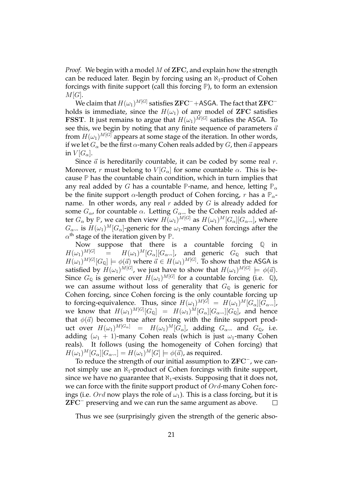*Proof.* We begin with a model M of **ZFC**, and explain how the strength can be reduced later. Begin by forcing using an  $\aleph_1$ -product of Cohen forcings with finite support (call this forcing **P**), to form an extension  $M[G]$ .

We claim that  $H(\omega_1)^{M[G]}$  satisfies  ${\rm ZFC^-}+{\rm ASGA}.$  The fact that  ${\rm ZFC^-}$ holds is immediate, since the  $H(\omega_1)$  of any model of ZFC satisfies FSST. It just remains to argue that  $H(\omega_1)^{M[G]}$  satisfies the ASGA. To see this, we begin by noting that any finite sequence of parameters  $\vec{a}$ from  $H(\omega_1)^{M[G]}$  appears at some stage of the iteration. In other words, if we let  $G_\alpha$  be the first  $\alpha$ -many Cohen reals added by  $G$ , then  $\vec{a}$  appears in  $V[G_\alpha]$ .

Since  $\vec{a}$  is hereditarily countable, it can be coded by some real r. Moreover, r must belong to  $V[G_\alpha]$  for some countable  $\alpha$ . This is because **P** has the countable chain condition, which in turn implies that any real added by G has a countable **P**-name, and hence, letting  $\mathbb{P}_{\alpha}$ be the finite support  $\alpha$ -length product of Cohen forcing, r has a  $\mathbb{P}_{\alpha}$ name. In other words, any real r added by  $G$  is already added for some  $G_{\alpha}$ , for countable  $\alpha$ . Letting  $G_{\alpha}$  be the Cohen reals added after  $G_\alpha$  by  $\mathbb P$ , we can then view  $H(\omega_1)^{M[G]}$  as  $H(\omega_1)^{M}[G_\alpha][G_{\alpha\leadsto}]$ , where  $G_{\alpha\leadsto}$  is  $H(\omega_1)^M[G_\alpha]$ -generic for the  $\omega_1$ -many Cohen forcings after the  $\alpha^\text{th}$  stage of the iteration given by  $\mathbb{P}.$ 

Now suppose that there is a countable forcing **Q** in  $H(\omega_1)^{M[G]}$  =  $H(\omega_1)^{M}[G_{\alpha}][G_{\alpha\leadsto}],$  and generic  $G_{\mathbb{Q}}$  such that  $H(\omega_1)^{M[G]}[G_{\mathbb Q}]\models \phi(\vec a)$  where  $\vec a\in H(\omega_1)^{M[G]}.$  To show that the ASGA is satisfied by  $H(\omega_1)^{M[G]}$ , we just have to show that  $H(\omega_1)^{M[G]} \models \phi(\vec{a}).$ Since  $G_{\mathbb{Q}}$  is generic over  $H(\omega_1)^{M[G]}$  for a countable forcing (i.e.  $\mathbb{Q}$ ), we can assume without loss of generality that  $G_{\mathbb{Q}}$  is generic for Cohen forcing, since Cohen forcing is the only countable forcing up to forcing-equivalence. Thus, since  $H(\omega_1)^{M[G]} \; = \; H(\omega_1)^M[G_\alpha][G_{\alpha\leadsto}]$ , we know that  $H(\omega_1)^{M[G]}[G_{\mathbb{Q}}] \;\; = \;\; H(\omega_1)^M[G_\alpha][G_{\alpha\leadsto}][G_{\mathbb{Q}}]$ , and hence that  $\phi(\vec{a})$  becomes true after forcing with the finite support product over  $H(\omega_1)^{M[G_\alpha]}$  =  $H(\omega_1)^M[G_\alpha]$ , adding  $G_{\alpha\leadsto}$  and  $G_{\mathbb{Q}}$ , i.e. adding  $(\omega_1 + 1)$ -many Cohen reals (which is just  $\omega_1$ -many Cohen reals). It follows (using the homogeneity of Cohen forcing) that  $H(\omega_1)^M[G_\alpha][G_{\alpha\rightsquigarrow}] = H(\omega_1)^M[G] \models \phi(\vec{a})$ , as required.

To reduce the strength of our initial assumption to ZFC<sup>−</sup> , we cannot simply use an  $\aleph_1$ -product of Cohen forcings with finite support, since we have no guarantee that  $\aleph_1$ -exists. Supposing that it does not, we can force with the finite support product of  $Ord$ -many Cohen forcings (i.e. Ord now plays the role of  $\omega_1$ ). This is a class forcing, but it is ZFC<sup>−</sup> preserving and we can run the same argument as above.  $\Box$ 

Thus we see (surprisingly given the strength of the generic abso-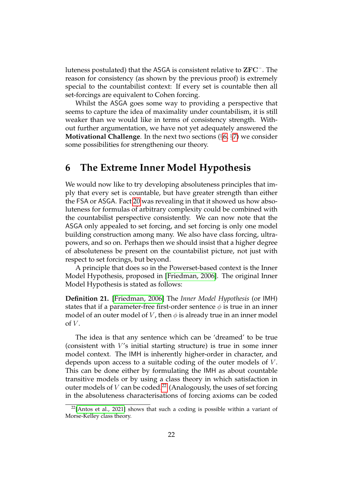luteness postulated) that the ASGA is consistent relative to ZFC<sup>−</sup> . The reason for consistency (as shown by the previous proof) is extremely special to the countabilist context: If every set is countable then all set-forcings are equivalent to Cohen forcing.

Whilst the ASGA goes some way to providing a perspective that seems to capture the idea of maximality under countabilism, it is still weaker than we would like in terms of consistency strength. Without further argumentation, we have not yet adequately answered the **Motivational Challenge**. In the next two sections (§[6,](#page-21-0) §[7\)](#page-26-0) we consider some possibilities for strengthening our theory.

### <span id="page-21-0"></span>**6 The Extreme Inner Model Hypothesis**

We would now like to try developing absoluteness principles that imply that every set is countable, but have greater strength than either the FSA or ASGA. Fact [20](#page-19-0) was revealing in that it showed us how absoluteness for formulas of arbitrary complexity could be combined with the countabilist perspective consistently. We can now note that the ASGA only appealed to set forcing, and set forcing is only one model building construction among many. We also have class forcing, ultrapowers, and so on. Perhaps then we should insist that a higher degree of absoluteness be present on the countabilist picture, not just with respect to set forcings, but beyond.

A principle that does so in the Powerset-based context is the Inner Model Hypothesis, proposed in [\[Friedman, 2006\]](#page-41-9). The original Inner Model Hypothesis is stated as follows:

**Definition 21.** [\[Friedman, 2006\]](#page-41-9) The *Inner Model Hypothesis* (or IMH) states that if a parameter-free first-order sentence  $\phi$  is true in an inner model of an outer model of V, then  $\phi$  is already true in an inner model of  $V$ .

The idea is that any sentence which can be 'dreamed' to be true (consistent with  $V$ 's initial starting structure) is true in some inner model context. The IMH is inherently higher-order in character, and depends upon access to a suitable coding of the outer models of V. This can be done either by formulating the IMH as about countable transitive models or by using a class theory in which satisfaction in outer models of V can be coded.<sup>[22](#page-21-1)</sup> (Analogously, the uses of set forcing in the absoluteness characterisations of forcing axioms can be coded

<span id="page-21-1"></span> $22$ [\[Antos et al., 2021\]](#page-40-6) shows that such a coding is possible within a variant of Morse-Kelley class theory.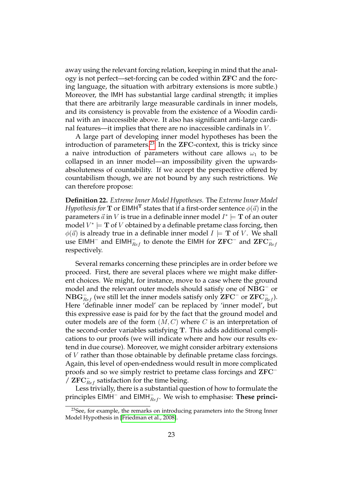away using the relevant forcing relation, keeping in mind that the analogy is not perfect—set-forcing can be coded within ZFC and the forcing language, the situation with arbitrary extensions is more subtle.) Moreover, the IMH has substantial large cardinal strength; it implies that there are arbitrarily large measurable cardinals in inner models, and its consistency is provable from the existence of a Woodin cardinal with an inaccessible above. It also has significant anti-large cardinal features—it implies that there are no inaccessible cardinals in V .

A large part of developing inner model hypotheses has been the introduction of parameters.<sup>[23](#page-22-0)</sup> In the ZFC-context, this is tricky since a naive introduction of parameters without care allows  $\omega_1$  to be collapsed in an inner model—an impossibility given the upwardsabsoluteness of countability. If we accept the perspective offered by countabilism though, we are not bound by any such restrictions. We can therefore propose:

**Definition 22.** *Extreme Inner Model Hypotheses.* The *Extreme Inner Model Hypothesis for*  $\mathbf T$  or <code>EIMH $^{\mathbf T}$ </code> states that if a first-order sentence  $\phi(\vec a)$  in the parameters  $\vec{a}$  in  $V$  is true in a definable inner model  $I^*\models \mathbf{T}$  of an outer model  $V^*\models \mathbf{T}$  of  $V$  obtained by a definable pretame class forcing, then  $\phi(\vec{a})$  is already true in a definable inner model  $I \models T$  of V. We shall use EIMH ${}^-$  and EIMH ${}^-_{Ref}$  to denote the EIMH for  $\mathrm{ZFC}{}^-$  and  $\mathrm{ZFC}{}^-_{Ref}$ respectively.

Several remarks concerning these principles are in order before we proceed. First, there are several places where we might make different choices. We might, for instance, move to a case where the ground model and the relevant outer models should satisfy one of  $\mathrm{NBG}^-$  or  ${\rm NBG}_{Ref}^-$  (we still let the inner models satisfy only  ${\rm ZFC}^-$  or  ${\rm ZFC}_{Ref}^-$ ). Here 'definable inner model' can be replaced by 'inner model', but this expressive ease is paid for by the fact that the ground model and outer models are of the form  $(M, C)$  where C is an interpretation of the second-order variables satisfying T. This adds additional complications to our proofs (we will indicate where and how our results extend in due course). Moreover, we might consider arbitrary extensions of V rather than those obtainable by definable pretame class forcings. Again, this level of open-endedness would result in more complicated proofs and so we simply restrict to pretame class forcings and ZFC<sup>−</sup>  $\sqrt{7}$  ZFC $_{Ref}^-$  satisfaction for the time being.

Less trivially, there is a substantial question of how to formulate the principles EIMH<sup>−</sup> and EIMH<sub>eef</sub>. We wish to emphasise: T**hese princi-**

<span id="page-22-0"></span><sup>&</sup>lt;sup>23</sup>See, for example, the remarks on introducing parameters into the Strong Inner Model Hypothesis in [\[Friedman et al., 2008\]](#page-41-10).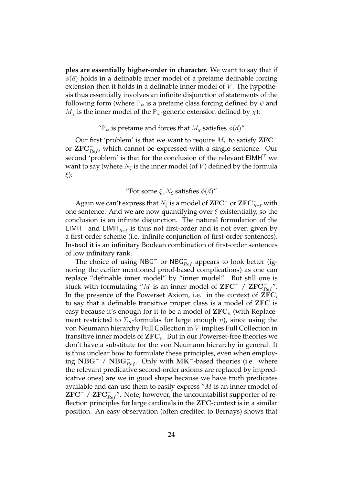**ples are essentially higher-order in character.** We want to say that if  $\phi(\vec{a})$  holds in a definable inner model of a pretame definable forcing extension then it holds in a definable inner model of  $V$ . The hypothesis thus essentially involves an infinite disjunction of statements of the following form (where  $\mathbb{P}_{\psi}$  is a pretame class forcing defined by  $\psi$  and  $M_{\chi}$  is the inner model of the  $\mathbb{P}_{\psi}$ -generic extension defined by  $\chi$ ):

#### " $\mathbb{P}_{\psi}$  is pretame and forces that  $M_{\chi}$  satisfies  $\phi(\vec{a})$ "

Our first 'problem' is that we want to require  $M_{\chi}$  to satisfy  ${\rm ZFC}^$ or  $\text{ZFC}_{Ref}^-$ , which cannot be expressed with a single sentence. Our second 'problem' is that for the conclusion of the relevant EIMH<sup>T</sup> we want to say (where  $N_{\xi}$  is the inner model (of V) defined by the formula ξ):

### "For some  $\xi$ ,  $N_{\xi}$  satisfies  $\phi(\vec{a})$ "

Again we can't express that  $N_{\xi}$  is a model of  $\mathbf{ZFC}^-$  or  $\mathbf{ZFC}_{Ref}^-$  with one sentence. And we are now quantifying over  $\xi$  existentially, so the conclusion is an infinite disjunction. The natural formulation of the EIMH<sup>-</sup> and EIMH $_{Ref}^-$  is thus not first-order and is not even given by a first-order scheme (i.e. infinite conjunction of first-order sentences). Instead it is an infinitary Boolean combination of first-order sentences of low infinitary rank.

The choice of using NBG<sup>-</sup> or NBG<sub>Ref</sub> appears to look better (ignoring the earlier mentioned proof-based complications) as one can replace "definable inner model" by "inner model". But still one is stuck with formulating "M is an inner model of  $\mathbf{ZFC}^-$  /  $\mathbf{ZFC}_{Ref}^-$ ". In the presence of the Powerset Axiom, i.e. in the context of ZFC, to say that a definable transitive proper class is a model of ZFC is easy because it's enough for it to be a model of  $\rm{ZFC}_n$  (with Replacement restricted to  $\Sigma_n$ -formulas for large enough *n*), since using the von Neumann hierarchy Full Collection in V implies Full Collection in transitive inner models of  $\text{ZFC}_n$ . But in our Powerset-free theories we don't have a substitute for the von Neumann hierarchy in general. It is thus unclear how to formulate these principles, even when employing NBG<sup>-</sup> / NBG<sub> $\overline{R}_{ef}$ </sub>. Only with MK<sup>-</sup>-based theories (i.e. where the relevant predicative second-order axioms are replaced by impredicative ones) are we in good shape because we have truth predicates available and can use them to easily express " $M$  is an inner rmodel of  ${\rm ZFC}^-$  /  ${\rm ZFC}_{Ref}^-$ ". Note, however, the uncountabilist supporter of reflection principles for large cardinals in the ZFC-context is in a similar position. An easy observation (often credited to Bernays) shows that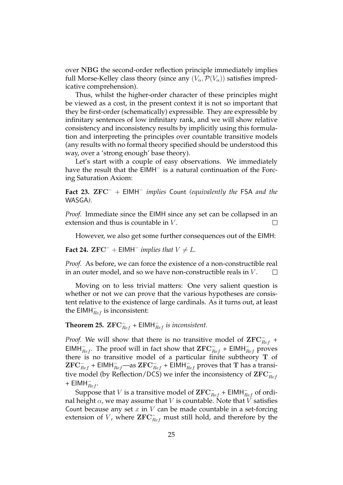over NBG the second-order reflection principle immediately implies full Morse-Kelley class theory (since any  $(V_\alpha,\mathcal{P}(V_\alpha))$  satisfies impredicative comprehension).

Thus, whilst the higher-order character of these principles might be viewed as a cost, in the present context it is not so important that they be first-order (schematically) expressible. They are expressible by infinitary sentences of low infinitary rank, and we will show relative consistency and inconsistency results by implicitly using this formulation and interpreting the principles over countable transitive models (any results with no formal theory specified should be understood this way, over a 'strong enough' base theory).

Let's start with a couple of easy observations. We immediately have the result that the EIMH<sup>-</sup> is a natural continuation of the Forcing Saturation Axiom:

**Fact 23.** ZFC<sup>−</sup> + EIMH<sup>−</sup> *implies* Count *(equivalently the* FSA *and the* WASGA*).*

*Proof.* Immediate since the EIMH since any set can be collapsed in an extension and thus is countable in  $V$ .  $\Box$ 

However, we also get some further consequences out of the EIMH:

**Fact 24.**  $\mathbf{ZFC}^-$  +  $\mathsf{EIMH}^-$  *implies that*  $V \neq L$ *.* 

*Proof.* As before, we can force the existence of a non-constructible real in an outer model, and so we have non-constructible reals in V .  $\Box$ 

Moving on to less trivial matters: One very salient question is whether or not we can prove that the various hypotheses are consistent relative to the existence of large cardinals. As it turns out, at least the  $\mathsf{EIMH}_{Ref}^-$  is inconsistent:

### <span id="page-24-0"></span>**Theorem 25.**  $\mathbf{ZFC}_{Ref}^-$  +  $\mathsf{EIMH}_{Ref}^-$  *is inconsistent.*

*Proof.* We will show that there is no transitive model of  $\mathbf{ZFC}_{Ref}^-$  + EIMH<sub> $Ref$ </sub>. The proof will in fact show that  $\text{ZFC}_{Ref}^-$  + EIMH<sub> $Ref$ </sub> proves there is no transitive model of a particular finite subtheory T of  ${\rm ZFC}_{Ref}^-$  + EIMH $_{Ref}^-$ —as  ${\rm ZFC}_{Ref}^-$  + EIMH $_{Ref}^-$  proves that  ${\rm T}$  has a transitive model (by Reflection/DCS) we infer the inconsistency of  $\mathrm{ZFC}_{Ref}^-$ +  $\mathsf{EIMH}_{Ref}^-$ .

Suppose that  $V$  is a transitive model of  $\mathbf{ZFC}_{Ref}^-$  +  $\mathsf{EIMH}_{Ref}^-$  of ordinal height  $\alpha$ , we may assume that V is countable. Note that V satisfies Count because any set  $x$  in  $V$  can be made countable in a set-forcing extension of V, where  $\bar{\mathbf{ZFC}}^-_{Ref}$  must still hold, and therefore by the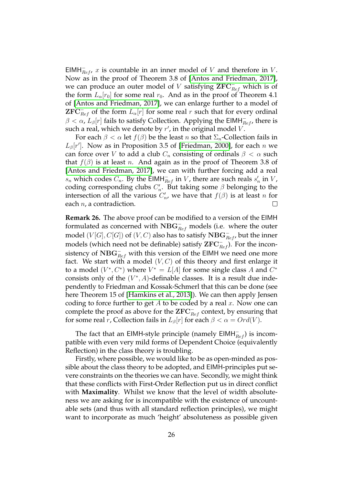EIMH $_{Ref}^-$ , x is countable in an inner model of V and therefore in V. Now as in the proof of Theorem 3.8 of [\[Antos and Friedman, 2017\]](#page-40-7), we can produce an outer model of V satisfying  $\mathbf{ZFC}_{Ref}^+$  which is of the form  $L_{\alpha}[r_0]$  for some real  $r_0$ . And as in the proof of Theorem 4.1 of [\[Antos and Friedman, 2017\]](#page-40-7), we can enlarge further to a model of  ${\rm ZFC}_{Ref}^-$  of the form  $L_\alpha[r]$  for some real r such that for every ordinal  $\beta < \alpha$ ,  $L_{\beta}[r]$  fails to satisfy Collection. Applying the EIMH $_{Ref}^-$ , there is such a real, which we denote by  $r'$ , in the original model V.

For each  $\beta < \alpha$  let  $f(\beta)$  be the least n so that  $\Sigma_n$ -Collection fails in  $L_{\beta}[r']$ . Now as in Proposition 3.5 of [\[Friedman, 2000\]](#page-41-11), for each n we can force over V to add a club  $C_n$  consisting of ordinals  $\beta < \alpha$  such that  $f(\beta)$  is at least n. And again as in the proof of Theorem 3.8 of [\[Antos and Friedman, 2017\]](#page-40-7), we can with further forcing add a real  $s_n$  which codes  $C_n$ . By the EIMH $_{Ref}^-$  in V, there are such reals  $s'_n$  in V, coding corresponding clubs  $C'_n$ . But taking some  $\beta$  belonging to the intersection of all the various  $C'_n$ , we have that  $f(\beta)$  is at least n for each  $n$ , a contradiction.  $\Box$ 

**Remark 26.** The above proof can be modified to a version of the EIMH formulated as concerned with  $\mathrm{NBG}_{Ref}^-$  models (i.e. where the outer model  $(V[G], C[G])$  of  $(V, C)$  also has to satisfy  $\mathbf{NBG}_{Ref}^-$ , but the inner models (which need not be definable) satisfy  $\mathbf{ZFC}_{Ref}^-$ ). For the inconsistency of  $\mathrm{NBG}_{Ref}^-$  with this version of the EIMH we need one more fact. We start with a model  $(V, C)$  of this theory and first enlarge it to a model  $(V^*, C^*)$  where  $V^* = L[A]$  for some single class A and  $C^*$ consists only of the  $(V^*, A)$ -definable classes. It is a result due independently to Friedman and Kossak-Schmerl that this can be done (see here Theorem 15 of [\[Hamkins et al., 2013\]](#page-41-12)). We can then apply Jensen coding to force further to get  $A$  to be coded by a real  $x$ . Now one can complete the proof as above for the  $\mathrm{ZFC}_{Ref}^-$  context, by ensuring that for some real r, Collection fails in  $L_{\beta}[r]$  for each  $\beta < \alpha = Ord(V)$ .

The fact that an EIMH-style principle (namely  $\textsf{EIMH}_{Ref}^-$ ) is incompatible with even very mild forms of Dependent Choice (equivalently Reflection) in the class theory is troubling.

Firstly, where possible, we would like to be as open-minded as possible about the class theory to be adopted, and EIMH-principles put severe constraints on the theories we can have. Secondly, we might think that these conflicts with First-Order Reflection put us in direct conflict with **Maximality**. Whilst we know that the level of width absoluteness we are asking for is incompatible with the existence of uncountable sets (and thus with all standard reflection principles), we might want to incorporate as much 'height' absoluteness as possible given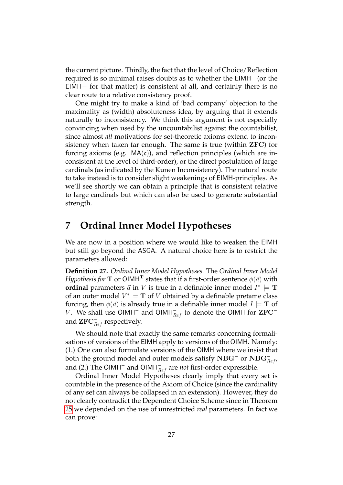the current picture. Thirdly, the fact that the level of Choice/Reflection required is so minimal raises doubts as to whether the EIMH<sup>-</sup> (or the EIMH− for that matter) is consistent at all, and certainly there is no clear route to a relative consistency proof.

One might try to make a kind of 'bad company' objection to the maximality as (width) absoluteness idea, by arguing that it extends naturally to inconsistency. We think this argument is not especially convincing when used by the uncountabilist against the countabilist, since almost *all* motivations for set-theoretic axioms extend to inconsistency when taken far enough. The same is true (within ZFC) for forcing axioms (e.g.  $MA(c)$ ), and reflection principles (which are inconsistent at the level of third-order), or the direct postulation of large cardinals (as indicated by the Kunen Inconsistency). The natural route to take instead is to consider slight weakenings of EIMH-principles. As we'll see shortly we can obtain a principle that is consistent relative to large cardinals but which can also be used to generate substantial strength.

## <span id="page-26-0"></span>**7 Ordinal Inner Model Hypotheses**

We are now in a position where we would like to weaken the EIMH but still go beyond the ASGA. A natural choice here is to restrict the parameters allowed:

**Definition 27.** *Ordinal Inner Model Hypotheses.* The *Ordinal Inner Model Hypothesis for*  $\mathbf T$  or  $\mathsf{OIMH}^{\mathbf T}$  states that if a first-order sentence  $\phi(\vec a)$  with **<u>ordinal</u>** parameters  $\vec{a}$  in V is true in a definable inner model  $I^* \models T$ of an outer model  $V^* \models T$  of  $V$  obtained by a definable pretame class forcing, then  $\phi(\vec{a})$  is already true in a definable inner model  $I \models T$  of V. We shall use OIMH<sup>-</sup> and OIMH<sub> $Ref$ </sub> to denote the OIMH for  ${\rm ZFC}^$ and  $\operatorname{\mathbf{ZFC}}^-_{Ref}$  respectively.

We should note that exactly the same remarks concerning formalisations of versions of the EIMH apply to versions of the OIMH. Namely: (1.) One can also formulate versions of the OIMH where we insist that both the ground model and outer models satisfy  $\mathrm{NBG}^-$  or  $\mathrm{NBG}^-_{Ref}$  , and (2.) The OIMH<sup>−</sup> and OIMH<sup>−</sup><sub>*Ref*</sub> are *not* first-order expressible.

Ordinal Inner Model Hypotheses clearly imply that every set is countable in the presence of the Axiom of Choice (since the cardinality of any set can always be collapsed in an extension). However, they do not clearly contradict the Dependent Choice Scheme since in Theorem [25](#page-24-0) we depended on the use of unrestricted *real* parameters. In fact we can prove: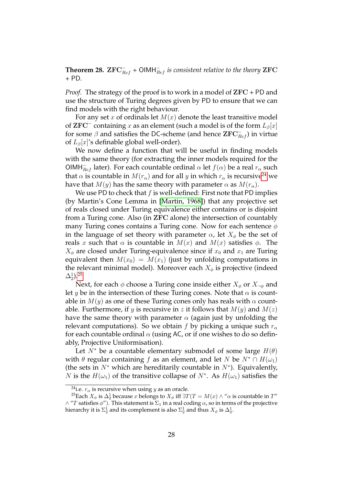<span id="page-27-0"></span>**Theorem 28.**  $\mathbf{ZFC}_{Ref}^-$  +  $\mathsf{OIMH}_{Ref}^-$  is consistent relative to the theory  $\mathbf{ZFC}$ *+* PD*.*

*Proof.* The strategy of the proof is to work in a model of ZFC + PD and use the structure of Turing degrees given by PD to ensure that we can find models with the right behaviour.

For any set x of ordinals let  $M(x)$  denote the least transitive model of  ${\rm ZFC}^-$  containing  $x$  as an element (such a model is of the form  $L_\beta[x]$ for some  $\beta$  and satisfies the DC-scheme (and hence  $\mathbf{ZFC}_{Ref}^-$ ) in virtue of  $L_{\beta}[x]$ 's definable global well-order).

We now define a function that will be useful in finding models with the same theory (for extracting the inner models required for the OIMH $_{Ref}^-$  later). For each countable ordinal  $\alpha$  let  $f(\alpha)$  be a real  $r_\alpha$  such that  $\alpha$  is countable in  $M(r_{\alpha})$  and for all y in which  $r_{\alpha}$  is recursive<sup>[24](#page-27-1)</sup> we have that  $M(y)$  has the same theory with parameter  $\alpha$  as  $M(r_{\alpha})$ .

We use PD to check that  $f$  is well-defined: First note that PD implies (by Martin's Cone Lemma in [\[Martin, 1968\]](#page-42-10)) that any projective set of reals closed under Turing equivalence either contains or is disjoint from a Turing cone. Also (in ZFC alone) the intersection of countably many Turing cones contains a Turing cone. Now for each sentence  $\phi$ in the language of set theory with parameter  $\alpha$ , let  $X_{\phi}$  be the set of reals x such that  $\alpha$  is countable in  $M(x)$  and  $M(x)$  satisfies  $\phi$ . The  $X_{\phi}$  are closed under Turing-equivalence since if  $x_0$  and  $x_1$  are Turing equivalent then  $M(x_0) = M(x_1)$  (just by unfolding computations in the relevant minimal model). Moreover each  $X_{\phi}$  is projective (indeed  $\Delta^1_2$ ).<sup>[25](#page-27-2)</sup>

Next, for each  $\phi$  choose a Turing cone inside either  $X_{\phi}$  or  $X_{\neg \phi}$  and let y be in the intersection of these Turing cones. Note that  $\alpha$  is countable in  $M(y)$  as one of these Turing cones only has reals with  $\alpha$  countable. Furthermore, if y is recursive in z it follows that  $M(y)$  and  $M(z)$ have the same theory with parameter  $\alpha$  (again just by unfolding the relevant computations). So we obtain f by picking a unique such  $r_\alpha$ for each countable ordinal  $\alpha$  (using AC, or if one wishes to do so definably, Projective Uniformisation).

Let  $N^*$  be a countable elementary submodel of some large  $H(\theta)$ with  $\theta$  regular containing f as an element, and let N be  $N^* \cap H(\omega_1)$ (the sets in  $N^*$  which are hereditarily countable in  $N^*$ ). Equivalently, *N* is the  $H(\omega_1)$  of the transitive collapse of  $N^*$ . As  $H(\omega_1)$  satisfies the

<span id="page-27-2"></span><span id="page-27-1"></span><sup>&</sup>lt;sup>24</sup>i.e.  $r_{\alpha}$  is recursive when using *y* as an oracle.

<sup>&</sup>lt;sup>25</sup>Each  $X_{\phi}$  is  $\Delta_2^1$  because  $x$  belongs to  $X_{\phi}$  iff  $\exists T(T = M(x) \wedge \lq \alpha$  is countable in  $T''$  $\wedge$  "T satisfies  $\phi$ "). This statement is  $\Sigma_1$  in a real coding  $\alpha$ , so in terms of the projective hierarchy it is  $\Sigma^1_2$  and its complement is also  $\Sigma^1_2$  and thus  $X_\phi$  is  $\Delta^1_2.$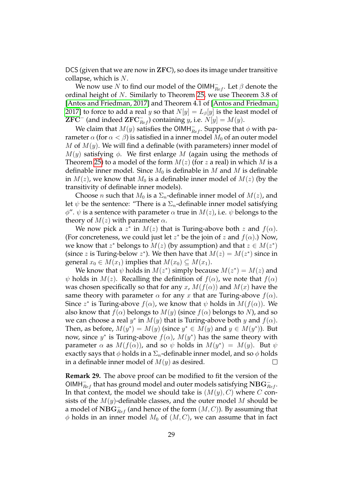DCS (given that we are now in ZFC), so does its image under transitive collapse, which is N.

We now use  $N$  to find our model of the OIMH $^-_{Ref}$ . Let  $\beta$  denote the ordinal height of N. Similarly to Theorem [25,](#page-24-0) we use Theorem 3.8 of [\[Antos and Friedman, 2017\]](#page-40-7) and Theorem 4.1 of [\[Antos and Friedman,](#page-40-7) [2017\]](#page-40-7) to force to add a real y so that  $N[y] = L_{\beta}[y]$  is the least model of **ZFC<sup>-</sup>** (and indeed **ZFC**<sub> $Ref$ </sub>) containing y, i.e.  $N[y] = M(y)$ .

We claim that  $M(y)$  satisfies the OIMH<sub> $\overline{R}$ ef. Suppose that  $\phi$  with pa-</sub> rameter  $\alpha$  (for  $\alpha < \beta$ ) is satisfied in a inner model  $M_0$  of an outer model M of  $M(y)$ . We will find a definable (with parameters) inner model of  $M(y)$  satisfying  $\phi$ . We first enlarge M (again using the methods of Theorem [25\)](#page-24-0) to a model of the form  $M(z)$  (for z a real) in which M is a definable inner model. Since  $M_0$  is definable in M and M is definable in  $M(z)$ , we know that  $M_0$  is a definable inner model of  $M(z)$  (by the transitivity of definable inner models).

Choose *n* such that  $M_0$  is a  $\Sigma_n$ -definable inner model of  $M(z)$ , and let  $\psi$  be the sentence: "There is a  $\Sigma_n$ -definable inner model satisfying  $\phi''$ .  $\psi$  is a sentence with parameter  $\alpha$  true in  $M(z)$ , i.e.  $\psi$  belongs to the theory of  $M(z)$  with parameter  $\alpha$ .

We now pick a  $z^*$  in  $M(z)$  that is Turing-above both  $z$  and  $f(\alpha)$ . (For concreteness, we could just let  $z^*$  be the join of  $z$  and  $f(\alpha)$ .) Now, we know that  $z^*$  belongs to  $M(z)$  (by assumption) and that  $z \in M(z^*)$ (since z is Turing-below  $z^*$ ). We then have that  $M(z) = M(z^*)$  since in general  $x_0 \in M(x_1)$  implies that  $M(x_0) \subseteq M(x_1)$ .

We know that  $\psi$  holds in  $M(z^*)$  simply because  $M(z^*) = M(z)$  and  $\psi$  holds in  $M(z)$ . Recalling the definition of  $f(\alpha)$ , we note that  $f(\alpha)$ was chosen specifically so that for any x,  $M(f(\alpha))$  and  $M(x)$  have the same theory with parameter  $\alpha$  for any x that are Turing-above  $f(\alpha)$ . Since  $z^*$  is Turing-above  $f(\alpha)$ , we know that  $\psi$  holds in  $M(f(\alpha))$ . We also know that  $f(\alpha)$  belongs to  $M(y)$  (since  $f(\alpha)$  belongs to N), and so we can choose a real  $y^*$  in  $M(y)$  that is Turing-above both  $y$  and  $f(\alpha)$ . Then, as before,  $M(y^*) = M(y)$  (since  $y^* \in M(y)$  and  $y \in M(y^*)$ ). But now, since  $y^*$  is Turing-above  $f(\alpha)$ ,  $M(y^*)$  has the same theory with parameter  $\alpha$  as  $M(f(\alpha))$ , and so  $\psi$  holds in  $M(y^*) = M(y)$ . But  $\psi$ exactly says that  $\phi$  holds in a  $\Sigma_n$ -definable inner model, and so  $\phi$  holds in a definable inner model of  $M(y)$  as desired.  $\Box$ 

**Remark 29.** The above proof can be modified to fit the version of the OIMH $_{Ref}^-$  that has ground model and outer models satisfying  $\mathrm{NBG}_{Ref}^-$ In that context, the model we should take is  $(M(y), C)$  where C consists of the  $M(y)$ -definable classes, and the outer model M should be a model of  $\mathbf{NBG}_{Ref}^-$  (and hence of the form  $(M, C)$ ). By assuming that  $\phi$  holds in an inner model  $M_0$  of  $(M, C)$ , we can assume that in fact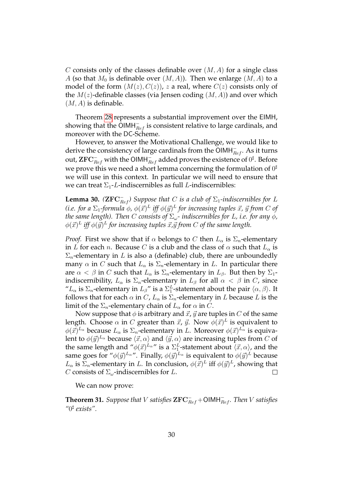C consists only of the classes definable over  $(M, A)$  for a single class A (so that  $M_0$  is definable over  $(M, A)$ ). Then we enlarge  $(M, A)$  to a model of the form  $(M(z), C(z))$ , z a real, where  $C(z)$  consists only of the  $M(z)$ -definable classes (via Jensen coding  $(M, A)$ ) and over which  $(M, A)$  is definable.

Theorem [28](#page-27-0) represents a substantial improvement over the EIMH, showing that the  $\tilde{\mathsf{O}}$ IMH $_{Ref}^-$  is consistent relative to large cardinals, and moreover with the DC-Scheme.

However, to answer the Motivational Challenge, we would like to derive the consistency of large cardinals from the  $\bar{\mathsf{O}}$ IMH $_{Ref}^-$ . As it turns out,  $\operatorname{ZFC}^-_{Ref}$  with the OIMH $^-_{Ref}$  added proves the existence of  $0^\sharp$ . Before we prove this we need a short lemma concerning the formulation of  $0^\sharp$ we will use in this context. In particular we will need to ensure that we can treat  $\Sigma_1$ -L-indiscernibles as full L-indiscernibles:

<span id="page-29-1"></span>**Lemma 30.**  $(\mathbf{ZFC}_{Ref}^-)$  Suppose that C is a club of  $\Sigma_1$ -indiscernibles for L (i.e. for a  $\Sigma_1$ -formula  $\phi$ ,  $\phi(\vec{x})^L$  iff  $\phi(\vec{y})^L$  for increasing tuples  $\vec{x}$ ,  $\vec{y}$  from  $C$  of *the same length). Then C consists of*  $\Sigma_{\omega}$ *- indiscernibles for L, i.e. for any*  $\phi$ *,*  $\phi(\vec{x})^L$  iff  $\phi(\vec{y})^L$  for increasing tuples  $\vec{x}$ , $\vec{y}$  from  $C$  of the same length.

*Proof.* First we show that if  $\alpha$  belongs to C then  $L_{\alpha}$  is  $\Sigma_n$ -elementary in L for each n. Because C is a club and the class of  $\alpha$  such that  $L_{\alpha}$  is  $\Sigma_n$ -elementary in L is also a (definable) club, there are unboundedly many  $\alpha$  in C such that  $L_{\alpha}$  is  $\Sigma_n$ -elementary in L. In particular there are  $\alpha < \beta$  in C such that  $L_{\alpha}$  is  $\Sigma_n$ -elementary in  $L_{\beta}$ . But then by  $\Sigma_1$ indiscernibility,  $L_{\alpha}$  is  $\Sigma_n$ -elementary in  $L_{\beta}$  for all  $\alpha < \beta$  in C, since " $L_{\alpha}$  is  $\Sigma_n$ -elementary in  $L_{\beta}$ " is a  $\Sigma_1^L$ -statement about the pair  $\langle \alpha, \beta \rangle$ . It follows that for each  $\alpha$  in C,  $L_{\alpha}$  is  $\Sigma_n$ -elementary in L because L is the limit of the  $\Sigma_n$ -elementary chain of  $L_\alpha$  for  $\alpha$  in C.

Now suppose that  $\phi$  is arbitrary and  $\vec{x}$ ,  $\vec{y}$  are tuples in C of the same length. Choose  $\alpha$  in  $C$  greater than  $\vec{x}$ ,  $\vec{y}$ . Now  $\phi(\vec{x})^L$  is equivalent to  $\phi(\vec{x})^{L_{\alpha}}$  because  $L_{\alpha}$  is  $\Sigma_n$ -elementary in L. Moreover  $\phi(\vec{x})^{L_{\alpha}}$  is equivalent to  $\phi(\vec{y})^{L_{\alpha}}$  because  $\langle \vec{x}, \alpha \rangle$  and  $\langle \vec{y}, \alpha \rangle$  are increasing tuples from  $C$  of the same length and  $\H\to \phi(\vec{x})^{L_{\alpha} \prime \prime}$  is a  $\Sigma_1^L$ -statement about  $\langle \vec{x}, \alpha \rangle$ , and the same goes for " $\phi(\vec{y})^{L_{\alpha}}$ ". Finally,  $\phi(\vec{y})^{L_{\alpha}}$  is equivalent to  $\phi(\vec{y})^L$  because  $L_{\alpha}$  is  $\Sigma_n$ -elementary in L. In conclusion,  $\phi(\vec{x})^L$  iff  $\phi(\vec{y})^L$ , showing that C consists of  $\Sigma_{\omega}$ -indiscernibles for L.  $\Box$ 

We can now prove:

<span id="page-29-0"></span>**Theorem 31.** *Suppose that*  $V$  *satisfies*  $\mathbf{ZFC}_{Ref}^- + \mathsf{OIMH}_{Ref}^-$ *. Then*  $V$  *satisfies "*0 ] *exists".*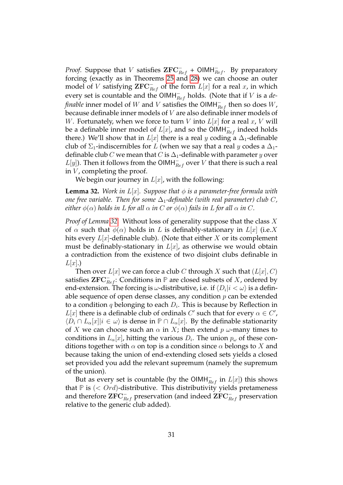*Proof.* Suppose that V satisfies  $\mathbf{ZFC}_{Ref}^-$  +  $\mathsf{OIMH}_{Ref}^-$ . By preparatory forcing (exactly as in Theorems [25](#page-24-0) and [28\)](#page-27-0) we can choose an outer model of V satisfying  $\mathbf{ZFC}_{Ref}^-$  of the form  $L[x]$  for a real  $x$ , in which every set is countable and the  $\text{OIMH}_{Ref}^-$  holds. (Note that if V is a *definable* inner model of  $W$  and  $V$  satisfies the OIMH $^-_{Ref}$  then so does  $W$ , because definable inner models of V are also definable inner models of W. Fortunately, when we force to turn V into  $L[x]$  for a real x, V will be a definable inner model of  $L[x]$ , and so the OIMH $_{Ref}^-$  indeed holds there.) We'll show that in  $L[x]$  there is a real y coding a  $\Delta_1$ -definable club of  $\Sigma_1$ -indiscernibles for L (when we say that a real y codes a  $\Delta_1$ definable club C we mean that C is  $\Delta_1$ -definable with parameter y over  $L[y]$ ). Then it follows from the OIMH $_{Ref}^-$  over  $V$  that there is such a real in  $V$ , completing the proof.

We begin our journey in  $L[x]$ , with the following:

<span id="page-30-0"></span>**Lemma 32.** *Work in*  $L[x]$ *. Suppose that*  $\phi$  *is a parameter-free formula with one free variable. Then for some*  $\Delta_1$ -definable (with real parameter) club C, *either*  $\phi(\alpha)$  *holds in* L *for all*  $\alpha$  *in* C *or*  $\phi(\alpha)$  *fails in* L *for all*  $\alpha$  *in* C.

*Proof of Lemma [32.](#page-30-0)* Without loss of generality suppose that the class X of  $\alpha$  such that  $\phi(\alpha)$  holds in L is definably-stationary in  $L[x]$  (i.e. X hits every  $L[x]$ -definable club). (Note that either X or its complement must be definably-stationary in  $L[x]$ , as otherwise we would obtain a contradiction from the existence of two disjoint clubs definable in  $L[x]$ .)

Then over  $L[x]$  we can force a club C through X such that  $(L[x], C)$ satisfies  $\mathbf{ZFC}_{Ref}^-$ : Conditions in  $\mathbb P$  are closed subsets of X, ordered by end-extension. The forcing is  $\omega$ -distributive, i.e. if  $\langle D_i |i<\omega \rangle$  is a definable sequence of open dense classes, any condition  $p$  can be extended to a condition  $q$  belonging to each  $D_i$ . This is because by Reflection in  $L[x]$  there is a definable club of ordinals  $C'$  such that for every  $\alpha \in C'$ ,  $\langle D_i \cap L_\alpha[x] | i \in \omega \rangle$  is dense in  $\mathbb{P} \cap L_\alpha[x]$ . By the definable stationarity of X we can choose such an  $\alpha$  in X; then extend  $p \omega$ -many times to conditions in  $L_\alpha[x]$ , hitting the various  $D_i$ . The union  $p_\omega$  of these conditions together with  $\alpha$  on top is a condition since  $\alpha$  belongs to X and because taking the union of end-extending closed sets yields a closed set provided you add the relevant supremum (namely the supremum of the union).

But as every set is countable (by the OIMH $_{Ref}^-$  in  $L[x]$ ) this shows that  $P$  is  $\left( \langle \text{Ord}\rangle\text{-distributive.}$  This distributivity yields pretameness and therefore  $\operatorname{ZFC}_{Ref}^-$  preservation (and indeed  $\operatorname{ZFC}_{Ref}^-$  preservation relative to the generic club added).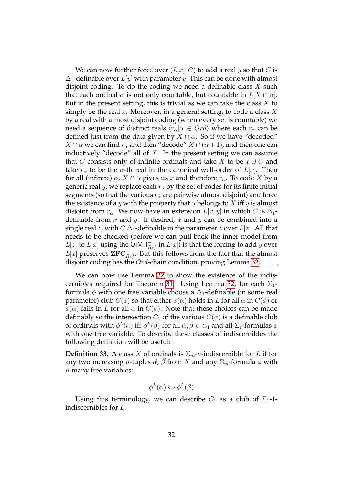We can now further force over  $(L[x], C)$  to add a real y so that C is  $\Delta_1$ -definable over  $L[y]$  with parameter y. This can be done with almost disjoint coding. To do the coding we need a definable class  $X$  such that each ordinal  $\alpha$  is not only countable, but countable in  $L[X \cap \alpha]$ . But in the present setting, this is trivial as we can take the class  $X$  to simply be the real  $x$ . Moreover, in a general setting, to code a class  $X$ by a real with almost disjoint coding (when every set is countable) we need a sequence of distinct reals  $\langle r_{\alpha} | \alpha \in Ord \rangle$  where each  $r_{\alpha}$  can be defined just from the data given by  $X \cap \alpha$ . So if we have "decoded"  $X \cap \alpha$  we can find  $r_{\alpha}$  and then "decode"  $X \cap (\alpha + 1)$ , and then one can inductively "decode" all of  $X$ . In the present setting we can assume that C consists only of infinite ordinals and take X to be  $x \cup C$  and take  $r_{\alpha}$  to be the  $\alpha$ -th real in the canonical well-order of  $L[x]$ . Then for all (infinite)  $\alpha$ ,  $X \cap \alpha$  gives us x and therefore  $r_{\alpha}$ . To code X by a generic real y, we replace each  $r_{\alpha}$  by the set of codes for its finite initial segments (so that the various  $r_{\alpha}$  are pairwise almost disjoint) and force the existence of a y with the property that  $\alpha$  belongs to X iff y is almost disjoint from  $r_{\alpha}$ . We now have an extension  $L[x, y]$  in which C is  $\Delta_1$ definable from  $x$  and  $y$ . If desired,  $x$  and  $y$  can be combined into a single real z, with  $C \Delta_1$ -definable in the parameter z over  $L[z]$ . All that needs to be checked (before we can pull back the inner model from  $L[z]$  to  $L[x]$  using the OIMH $_{Ref}^-$  in  $L[x]$ ) is that the forcing to add  $y$  over  $L[x]$  preserves  $\mathbf{ZFC}_{Ref}^-$ . But this follows from the fact that the almost disjoint coding has the Ord-chain condition, proving Lemma [32.](#page-30-0)  $\Box$ 

We can now use Lemma [32](#page-30-0) to show the existence of the indis-cernibles required for Theorem [31.](#page-29-0) Using Lemma [32,](#page-30-0) for each  $\Sigma_1$ formula  $\phi$  with one free variable choose a  $\Delta_1$ -definable (in some real parameter) club  $C(\phi)$  so that either  $\phi(\alpha)$  holds in L for all  $\alpha$  in  $C(\phi)$  or  $\phi(\alpha)$  fails in L for all  $\alpha$  in  $C(\phi)$ . Note that these choices can be made definably so the intersection  $C_1$  of the various  $C(\phi)$  is a definable club of ordinals with  $\phi^L(\alpha)$  iff  $\phi^L(\beta)$  for all  $\alpha, \beta \in C_1$  and all  $\Sigma_1$ -formulas  $\phi$ with one free variable. To describe these classes of indiscernibles the following definition will be useful:

**Definition 33.** A class X of ordinals is  $\Sigma_m$ -*n*-indiscernible for L if for any two increasing *n*-tuples  $\vec{\alpha}$ ,  $\vec{\beta}$  from X and any  $\Sigma_m$ -formula  $\phi$  with  $n$ -many free variables:

$$
\phi^L(\vec{\alpha}) \Leftrightarrow \phi^L(\vec{\beta})
$$

Using this terminology, we can describe  $C_1$  as a club of  $\Sigma_1$ -1indiscernibles for L.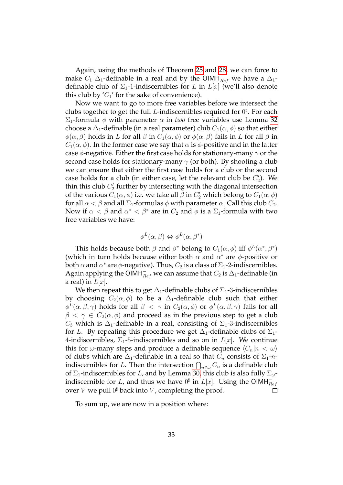Again, using the methods of Theorem [25](#page-24-0) and [28,](#page-27-0) we can force to make  $C_1$   $\Delta_1$ -definable in a real and by the OIMH $_{Ref}^-$  we have a  $\Delta_1$ definable club of  $\Sigma_1$ -1-indiscernibles for L in  $L[x]$  (we'll also denote this club by  $'C_1'$  for the sake of convenience).

Now we want to go to more free variables before we intersect the clubs together to get the full *L*-indiscernibles required for  $0^{\sharp}$ . For each  $\Sigma_1$ -formula φ with parameter  $\alpha$  in *two* free variables use Lemma [32](#page-30-0) choose a  $\Delta_1$ -definable (in a real parameter) club  $C_1(\alpha, \phi)$  so that either  $\phi(\alpha, \beta)$  holds in L for all  $\beta$  in  $C_1(\alpha, \phi)$  or  $\phi(\alpha, \beta)$  fails in L for all  $\beta$  in  $C_1(\alpha, \phi)$ . In the former case we say that  $\alpha$  is  $\phi$ -positive and in the latter case  $\phi$ -negative. Either the first case holds for stationary-many  $\gamma$  or the second case holds for stationary-many  $\gamma$  (or both). By shooting a club we can ensure that either the first case holds for a club or the second case holds for a club (in either case, let the relevant club be  $C_2'$ ). We thin this club  $C_2'$  further by intersecting with the diagonal intersection of the various  $C_1(\alpha, \phi)$  i.e. we take all  $\beta$  in  $C_2'$  which belong to  $C_1(\alpha, \phi)$ for all  $\alpha < \beta$  and all  $\Sigma_1$ -formulas  $\phi$  with parameter  $\alpha$ . Call this club  $C_2$ . Now if  $\alpha < \beta$  and  $\alpha^* < \beta^*$  are in  $C_2$  and  $\phi$  is a  $\Sigma_1$ -formula with two free variables we have:

$$
\phi^L(\alpha, \beta) \Leftrightarrow \phi^L(\alpha, \beta^*)
$$

This holds because both  $\beta$  and  $\beta^*$  belong to  $C_1(\alpha, \phi)$  iff  $\phi^L(\alpha^*, \beta^*)$ (which in turn holds because either both  $\alpha$  and  $\alpha^*$  are  $\phi$ -positive or both  $\alpha$  and  $\alpha^*$  are  $\phi$ -negative). Thus,  $C_2$  is a class of  $\Sigma_1$ -2-indiscernibles. Again applying the OIMH $^{-}_{Ref}$  we can assume that  $C_2$  is  $\Delta_1$ -definable (in a real) in  $L[x]$ .

We then repeat this to get  $\Delta_1$ -definable clubs of  $\Sigma_1$ -3-indiscernibles by choosing  $C_2(\alpha, \phi)$  to be a  $\Delta_1$ -definable club such that either  $\phi^L(\alpha,\beta,\gamma)$  holds for all  $\beta~<~\gamma$  in  $C_2(\alpha,\phi)$  or  $\phi^L(\alpha,\beta,\gamma)$  fails for all  $\beta < \gamma \in C_2(\alpha, \phi)$  and proceed as in the previous step to get a club  $C_3$  which is  $\Delta_1$ -definable in a real, consisting of  $\Sigma_1$ -3-indiscernibles for L. By repeating this procedure we get  $\Delta_1$ -definable clubs of  $\Sigma_1$ -4-indiscernibles,  $\Sigma_1$ -5-indiscernibles and so on in  $L[x]$ . We continue this for  $\omega$ -many steps and produce a definable sequence  $\langle C_n|n < \omega \rangle$ of clubs which are  $\Delta_1$ -definable in a real so that  $C_n$  consists of  $\Sigma_1$ -nindiscernibles for L. Then the intersection  $\bigcap_{n\in\omega}C_n$  is a definable club of  $\Sigma_1$ -indiscernibles for L, and by Lemma [30,](#page-29-1) this club is also fully  $\Sigma_{\omega}$ indiscernible for  $L$ , and thus we have  $0^\sharp$  in  $L[x]$ . Using the OIMH $_{Ref}^$ over  $V$  we pull  $0^{\sharp}$  back into  $V$ , completing the proof.  $\Box$ 

To sum up, we are now in a position where: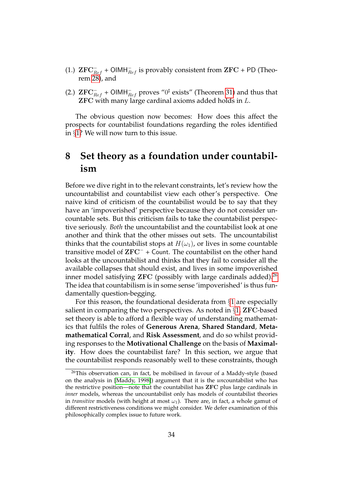- (1.)  $\text{ZFC}_{Ref}^-$  + OIMH $_{Ref}^-$  is provably consistent from  $\text{ZFC}$  + PD (Theorem [28\)](#page-27-0), and
- (2.)  $\operatorname{ZFC}_{Ref}^-$  + OIMH $_{Ref}^-$  proves " $0^{\sharp}$  exists" (Theorem [31\)](#page-29-0) and thus that ZFC with many large cardinal axioms added holds in L.

The obvious question now becomes: How does this affect the prospects for countabilist foundations regarding the roles identified in §[1?](#page-2-0) We will now turn to this issue.

# <span id="page-33-0"></span>**8 Set theory as a foundation under countabilism**

Before we dive right in to the relevant constraints, let's review how the uncountabilist and countabilist view each other's perspective. One naive kind of criticism of the countabilist would be to say that they have an 'impoverished' perspective because they do not consider uncountable sets. But this criticism fails to take the countabilist perspective seriously. *Both* the uncountabilist and the countabilist look at one another and think that the other misses out sets. The uncountabilist thinks that the countabilist stops at  $H(\omega_1)$ , or lives in some countable transitive model of ZFC<sup>−</sup> + Count. The countabilist on the other hand looks at the uncountabilist and thinks that they fail to consider all the available collapses that should exist, and lives in some impoverished inner model satisfying  $ZFC$  (possibly with large cardinals added).<sup>[26](#page-33-1)</sup> The idea that countabilism is in some sense 'impoverished' is thus fundamentally question-begging.

For this reason, the foundational desiderata from §[1](#page-2-0) are especially salient in comparing the two perspectives. As noted in  $\S1$ , **ZFC**-based set theory is able to afford a flexible way of understanding mathematics that fulfils the roles of **Generous Arena**, **Shared Standard**, **Metamathematical Corral**, and **Risk Assessment**, and do so whilst providing responses to the **Motivational Challenge** on the basis of **Maximality**. How does the countabilist fare? In this section, we argue that the countabilist responds reasonably well to these constraints, though

<span id="page-33-1"></span><sup>&</sup>lt;sup>26</sup>This observation can, in fact, be mobilised in favour of a Maddy-style (based on the analysis in [\[Maddy, 1998\]](#page-42-11)) argument that it is the *un*countabilist who has the restrictive position—note that the countabilist has ZFC plus large cardinals in *inner* models, whereas the uncountabilist only has models of countabilist theories in *transitive* models (with height at most  $\omega_1$ ). There are, in fact, a whole gamut of different restrictiveness conditions we might consider. We defer examination of this philosophically complex issue to future work.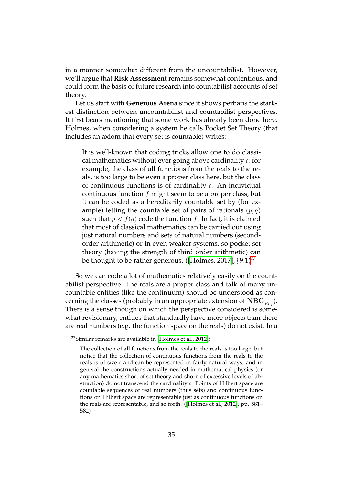in a manner somewhat different from the uncountabilist. However, we'll argue that **Risk Assessment** remains somewhat contentious, and could form the basis of future research into countabilist accounts of set theory.

Let us start with **Generous Arena** since it shows perhaps the starkest distinction between uncountabilist and countabilist perspectives. It first bears mentioning that some work has already been done here. Holmes, when considering a system he calls Pocket Set Theory (that includes an axiom that every set is countable) writes:

It is well-known that coding tricks allow one to do classical mathematics without ever going above cardinality c: for example, the class of all functions from the reals to the reals, is too large to be even a proper class here, but the class of continuous functions is of cardinality c. An individual continuous function  $f$  might seem to be a proper class, but it can be coded as a hereditarily countable set by (for example) letting the countable set of pairs of rationals  $(p, q)$ such that  $p < f(q)$  code the function f. In fact, it is claimed that most of classical mathematics can be carried out using just natural numbers and sets of natural numbers (secondorder arithmetic) or in even weaker systems, so pocket set theory (having the strength of third order arithmetic) can be thought to be rather generous. ([\[Holmes, 2017\]](#page-41-0),  $\S 9.1$ )<sup>[27](#page-34-0)</sup>

So we can code a lot of mathematics relatively easily on the countabilist perspective. The reals are a proper class and talk of many uncountable entities (like the continuum) should be understood as concerning the classes (probably in an appropriate extension of  $\mathrm{NBG}_{Ref}^-$ ). There is a sense though on which the perspective considered is somewhat revisionary, entities that standardly have more objects than there are real numbers (e.g. the function space on the reals) do not exist. In a

<span id="page-34-0"></span><sup>27</sup>Similar remarks are available in [\[Holmes et al., 2012\]](#page-41-2):

The collection of all functions from the reals to the reals is too large, but notice that the collection of continuous functions from the reals to the reals is of size c and can be represented in fairly natural ways, and in general the constructions actually needed in mathematical physics (or any mathematics short of set theory and shorn of excessive levels of abstraction) do not transcend the cardinality c. Points of Hilbert space are countable sequences of real numbers (thus sets) and continuous functions on Hilbert space are representable just as continuous functions on the reals are representable, and so forth. ([\[Holmes et al., 2012\]](#page-41-2), pp. 581– 582)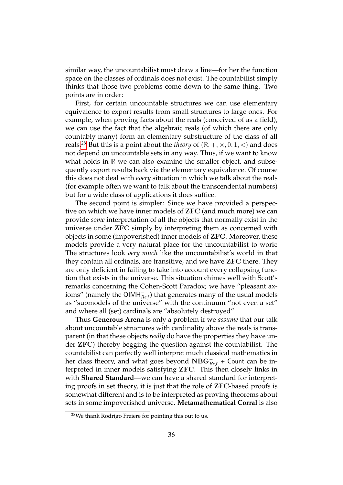similar way, the uncountabilist must draw a line—for her the function space on the classes of ordinals does not exist. The countabilist simply thinks that those two problems come down to the same thing. Two points are in order:

First, for certain uncountable structures we can use elementary equivalence to export results from small structures to large ones. For example, when proving facts about the reals (conceived of as a field), we can use the fact that the algebraic reals (of which there are only countably many) form an elementary substructure of the class of all reals.<sup>[28](#page-35-0)</sup> But this is a point about the *theory* of  $(\mathbb{R}, +, \times, 0, 1, <)$  and does not depend on uncountable sets in any way. Thus, if we want to know what holds in **R** we can also examine the smaller object, and subsequently export results back via the elementary equivalence. Of course this does not deal with *every* situation in which we talk about the reals (for example often we want to talk about the transcendental numbers) but for a wide class of applications it does suffice.

The second point is simpler: Since we have provided a perspective on which we have inner models of ZFC (and much more) we can provide *some* interpretation of all the objects that normally exist in the universe under ZFC simply by interpreting them as concerned with objects in some (impoverished) inner models of ZFC. Moreover, these models provide a very natural place for the uncountabilist to work: The structures look *very much* like the uncountabilist's world in that they contain all ordinals, are transitive, and we have ZFC there. They are only deficient in failing to take into account every collapsing function that exists in the universe. This situation chimes well with Scott's remarks concerning the Cohen-Scott Paradox; we have "pleasant axioms" (namely the  $\overline{\mathsf{OIMH}_{Ref}^-}$ ) that generates many of the usual models as "submodels of the universe" with the continuum "not even a set" and where all (set) cardinals are "absolutely destroyed".

Thus **Generous Arena** is only a problem if we *assume* that our talk about uncountable structures with cardinality above the reals is transparent (in that these objects *really* do have the properties they have under ZFC) thereby begging the question against the countabilist. The countabilist can perfectly well interpret much classical mathematics in her class theory, and what goes beyond  $\mathrm{NBG}_{Ref}^-$  + Count can be interpreted in inner models satisfying ZFC. This then closely links in with **Shared Standard**—we can have a shared standard for interpreting proofs in set theory, it is just that the role of ZFC-based proofs is somewhat different and is to be interpreted as proving theorems about sets in some impoverished universe. **Metamathematical Corral** is also

<span id="page-35-0"></span><sup>&</sup>lt;sup>28</sup>We thank Rodrigo Freiere for pointing this out to us.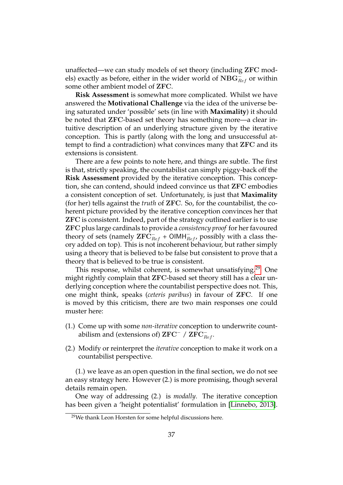unaffected—we can study models of set theory (including ZFC models) exactly as before, either in the wider world of  $\mathrm{NBG}_{Ref}^-$  or within some other ambient model of ZFC.

**Risk Assessment** is somewhat more complicated. Whilst we have answered the **Motivational Challenge** via the idea of the universe being saturated under 'possible' sets (in line with **Maximality**) it should be noted that ZFC-based set theory has something more—a clear intuitive description of an underlying structure given by the iterative conception. This is partly (along with the long and unsuccessful attempt to find a contradiction) what convinces many that ZFC and its extensions is consistent.

There are a few points to note here, and things are subtle. The first is that, strictly speaking, the countabilist can simply piggy-back off the **Risk Assessment** provided by the iterative conception. This conception, she can contend, should indeed convince us that ZFC embodies a consistent conception of set. Unfortunately, is just that **Maximality** (for her) tells against the *truth* of ZFC. So, for the countabilist, the coherent picture provided by the iterative conception convinces her that ZFC is consistent. Indeed, part of the strategy outlined earlier is to use ZFC plus large cardinals to provide a *consistency proof* for her favoured theory of sets (namely  $\text{ZFC}_{Ref}^-$  + OIMH $_{Ref}^-$ , possibly with a class theory added on top). This is not incoherent behaviour, but rather simply using a theory that is believed to be false but consistent to prove that a theory that is believed to be true is consistent.

This response, whilst coherent, is somewhat unsatisfying.<sup>[29](#page-36-0)</sup> One might rightly complain that ZFC-based set theory still has a clear underlying conception where the countabilist perspective does not. This, one might think, speaks (*ceteris paribus*) in favour of ZFC. If one is moved by this criticism, there are two main responses one could muster here:

- (1.) Come up with some *non-iterative* conception to underwrite countabilism and (extensions of)  $\mathrm{ZFC}^-$  /  $\mathrm{ZFC}_{Ref}^-$ .
- (2.) Modify or reinterpret the *iterative* conception to make it work on a countabilist perspective.

(1.) we leave as an open question in the final section, we do not see an easy strategy here. However (2.) is more promising, though several details remain open.

One way of addressing (2.) is *modally*. The iterative conception has been given a 'height potentialist' formulation in [\[Linnebo, 2013\]](#page-42-12).

<span id="page-36-0"></span><sup>&</sup>lt;sup>29</sup>We thank Leon Horsten for some helpful discussions here.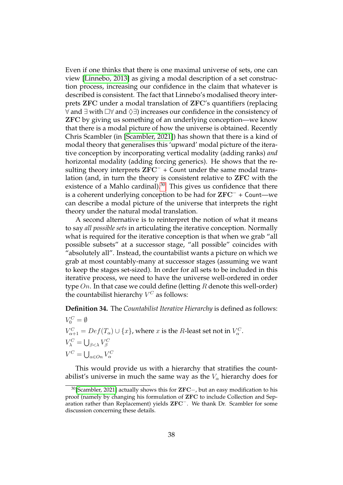Even if one thinks that there is one maximal universe of sets, one can view [\[Linnebo, 2013\]](#page-42-12) as giving a modal description of a set construction process, increasing our confidence in the claim that whatever is described is consistent. The fact that Linnebo's modalised theory interprets ZFC under a modal translation of ZFC's quantifiers (replacing ∀ and ∃ with  $\Box$ ∀ and  $\Diamond$ ∃) increases our confidence in the consistency of ZFC by giving us something of an underlying conception—we know that there is a modal picture of how the universe is obtained. Recently Chris Scambler (in [\[Scambler, 2021\]](#page-43-2)) has shown that there is a kind of modal theory that generalises this 'upward' modal picture of the iterative conception by incorporating vertical modality (adding ranks) *and* horizontal modality (adding forcing generics). He shows that the resulting theory interprets  $ZFC^-$  + Count under the same modal translation (and, in turn the theory is consistent relative to ZFC with the existence of a Mahlo cardinal). $30$  This gives us confidence that there is a coherent underlying conception to be had for ZFC<sup>−</sup> + Count—we can describe a modal picture of the universe that interprets the right theory under the natural modal translation.

A second alternative is to reinterpret the notion of what it means to say *all possible sets* in articulating the iterative conception. Normally what is required for the iterative conception is that when we grab "all possible subsets" at a successor stage, "all possible" coincides with "absolutely all". Instead, the countabilist wants a picture on which we grab at most countably-many at successor stages (assuming we want to keep the stages set-sized). In order for all sets to be included in this iterative process, we need to have the universe well-ordered in order type  $On.$  In that case we could define (letting  $R$  denote this well-order) the countabilist hierarchy  $V^C$  as follows:

**Definition 34.** The *Countabilist Iterative Hierarchy* is defined as follows:

 $V_0^C = \emptyset$  $V_{\alpha+1}^C = Def(T_\alpha) \cup \{x\}$ , where  $x$  is the *R*-least set not in  $V_\alpha^C$ .  $V^C_\lambda=\bigcup_{\beta<\lambda}V^C_\beta$  $V^C = \bigcup_{\alpha \in On} V_{\alpha}^C$ 

This would provide us with a hierarchy that stratifies the countabilist's universe in much the same way as the  $V_{\alpha}$  hierarchy does for

<span id="page-37-0"></span><sup>&</sup>lt;sup>30</sup>[\[Scambler, 2021\]](#page-43-2) actually shows this for **ZFC**−, but an easy modification to his proof (namely by changing his formulation of ZFC to include Collection and Separation rather than Replacement) yields ZFC<sup>−</sup>. We thank Dr. Scambler for some discussion concerning these details.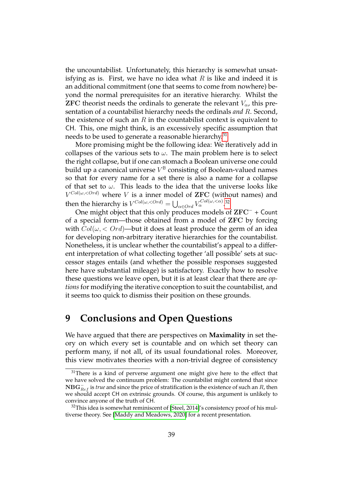the uncountabilist. Unfortunately, this hierarchy is somewhat unsatisfying as is. First, we have no idea what  $R$  is like and indeed it is an additional commitment (one that seems to come from nowhere) beyond the normal prerequisites for an iterative hierarchy. Whilst the **ZFC** theorist needs the ordinals to generate the relevant  $V_{\alpha}$ , this presentation of a countabilist hierarchy needs the ordinals *and* R. Second, the existence of such an  $R$  in the countabilist context is equivalent to CH. This, one might think, is an excessively specific assumption that needs to be used to generate a reasonable hierarchy.<sup>[31](#page-38-0)</sup>

More promising might be the following idea: We iteratively add in collapses of the various sets to  $\omega$ . The main problem here is to select the right collapse, but if one can stomach a Boolean universe one could build up a canonical universe  $V^{\mathbb{B}}$  consisting of Boolean-valued names so that for every name for a set there is also a name for a collapse of that set to  $\omega$ . This leads to the idea that the universe looks like  $V^{Col(\omega, < Ord)}$  where V is a inner model of ZFC (without names) and then the hierarchy is  $V^{Col(\omega,.[32](#page-38-1)$ 

One might object that this only produces models of ZFC<sup>−</sup> + Count of a special form—those obtained from a model of ZFC by forcing with  $Col(\omega, < Ord)$ —but it does at least produce the germ of an idea for developing non-arbitrary iterative hierarchies for the countabilist. Nonetheless, it is unclear whether the countabilist's appeal to a different interpretation of what collecting together 'all possible' sets at successor stages entails (and whether the possible responses suggested here have substantial mileage) is satisfactory. Exactly how to resolve these questions we leave open, but it is at least clear that there are *options* for modifying the iterative conception to suit the countabilist, and it seems too quick to dismiss their position on these grounds.

### **9 Conclusions and Open Questions**

We have argued that there are perspectives on **Maximality** in set theory on which every set is countable and on which set theory can perform many, if not all, of its usual foundational roles. Moreover, this view motivates theories with a non-trivial degree of consistency

<span id="page-38-0"></span> $31$ There is a kind of perverse argument one might give here to the effect that we have solved the continuum problem: The countabilist might contend that since  ${\bf NBG}_{Ref}^-$  is *true* and since the price of stratification is the existence of such an R, then we should accept CH on extrinsic grounds. Of course, this argument is unlikely to convince anyone of the truth of CH.

<span id="page-38-1"></span> $32$ This idea is somewhat reminiscent of [\[Steel, 2014\]](#page-43-4)'s consistency proof of his multiverse theory. See [\[Maddy and Meadows, 2020\]](#page-42-13) for a recent presentation.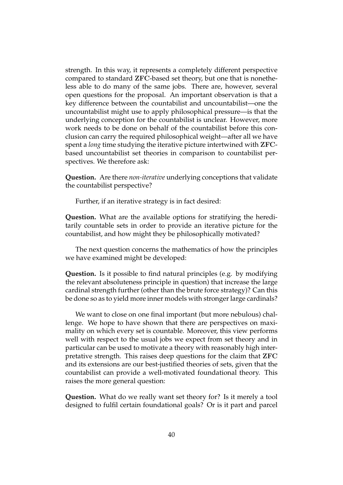strength. In this way, it represents a completely different perspective compared to standard ZFC-based set theory, but one that is nonetheless able to do many of the same jobs. There are, however, several open questions for the proposal. An important observation is that a key difference between the countabilist and uncountabilist—one the uncountabilist might use to apply philosophical pressure—is that the underlying conception for the countabilist is unclear. However, more work needs to be done on behalf of the countabilist before this conclusion can carry the required philosophical weight—after all we have spent a *long* time studying the iterative picture intertwined with ZFCbased uncountabilist set theories in comparison to countabilist perspectives. We therefore ask:

**Question.** Are there *non-iterative* underlying conceptions that validate the countabilist perspective?

Further, if an iterative strategy is in fact desired:

**Question.** What are the available options for stratifying the hereditarily countable sets in order to provide an iterative picture for the countabilist, and how might they be philosophically motivated?

The next question concerns the mathematics of how the principles we have examined might be developed:

**Question.** Is it possible to find natural principles (e.g. by modifying the relevant absoluteness principle in question) that increase the large cardinal strength further (other than the brute force strategy)? Can this be done so as to yield more inner models with stronger large cardinals?

We want to close on one final important (but more nebulous) challenge. We hope to have shown that there are perspectives on maximality on which every set is countable. Moreover, this view performs well with respect to the usual jobs we expect from set theory and in particular can be used to motivate a theory with reasonably high interpretative strength. This raises deep questions for the claim that ZFC and its extensions are our best-justified theories of sets, given that the countabilist can provide a well-motivated foundational theory. This raises the more general question:

**Question.** What do we really want set theory for? Is it merely a tool designed to fulfil certain foundational goals? Or is it part and parcel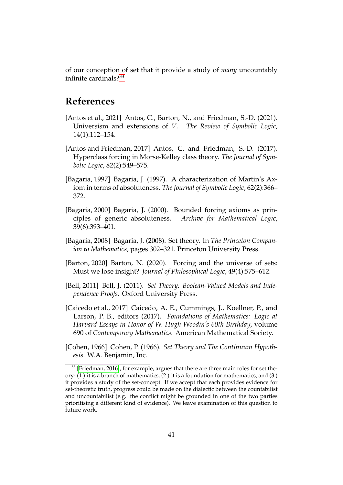of our conception of set that it provide a study of *many* uncountably infinite cardinals?[33](#page-40-8)

# **References**

- <span id="page-40-6"></span>[Antos et al., 2021] Antos, C., Barton, N., and Friedman, S.-D. (2021). Universism and extensions of *V*. *The Review of Symbolic Logic*, 14(1):112–154.
- <span id="page-40-7"></span>[Antos and Friedman, 2017] Antos, C. and Friedman, S.-D. (2017). Hyperclass forcing in Morse-Kelley class theory. *The Journal of Symbolic Logic*, 82(2):549–575.
- <span id="page-40-3"></span>[Bagaria, 1997] Bagaria, J. (1997). A characterization of Martin's Axiom in terms of absoluteness. *The Journal of Symbolic Logic*, 62(2):366– 372.
- <span id="page-40-4"></span>[Bagaria, 2000] Bagaria, J. (2000). Bounded forcing axioms as principles of generic absoluteness. *Archive for Mathematical Logic*, 39(6):393–401.
- <span id="page-40-5"></span>[Bagaria, 2008] Bagaria, J. (2008). Set theory. In *The Princeton Companion to Mathematics*, pages 302–321. Princeton University Press.
- <span id="page-40-1"></span>[Barton, 2020] Barton, N. (2020). Forcing and the universe of sets: Must we lose insight? *Journal of Philosophical Logic*, 49(4):575–612.
- <span id="page-40-2"></span>[Bell, 2011] Bell, J. (2011). *Set Theory: Boolean-Valued Models and Independence Proofs*. Oxford University Press.
- <span id="page-40-9"></span>[Caicedo et al., 2017] Caicedo, A. E., Cummings, J., Koellner, P., and Larson, P. B., editors (2017). *Foundations of Mathematics: Logic at Harvard Essays in Honor of W. Hugh Woodin's 60th Birthday*, volume 690 of *Contemporary Mathematics*. American Mathematical Society.
- <span id="page-40-0"></span>[Cohen, 1966] Cohen, P. (1966). *Set Theory and The Continuum Hypothesis*. W.A. Benjamin, Inc.

<span id="page-40-8"></span> $33$  [\[Friedman, 2016\]](#page-41-3), for example, argues that there are three main roles for set theory: (1.) it is a branch of mathematics, (2.) it is a foundation for mathematics, and (3.) it provides a study of the set-concept. If we accept that each provides evidence for set-theoretic truth, progress could be made on the dialectic between the countabilist and uncountabilist (e.g. the conflict might be grounded in one of the two parties prioritising a different kind of evidence). We leave examination of this question to future work.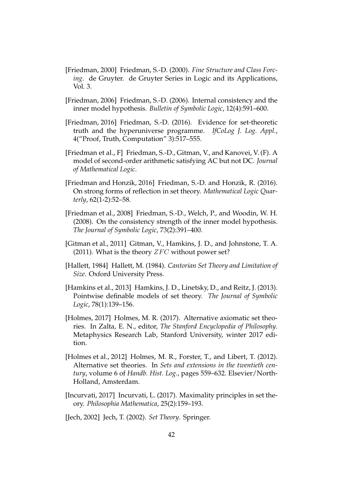- <span id="page-41-11"></span>[Friedman, 2000] Friedman, S.-D. (2000). *Fine Structure and Class Forcing*. de Gruyter. de Gruyter Series in Logic and its Applications, Vol. 3.
- <span id="page-41-9"></span>[Friedman, 2006] Friedman, S.-D. (2006). Internal consistency and the inner model hypothesis. *Bulletin of Symbolic Logic*, 12(4):591–600.
- <span id="page-41-3"></span>[Friedman, 2016] Friedman, S.-D. (2016). Evidence for set-theoretic truth and the hyperuniverse programme. *IfCoLog J. Log. Appl.*, 4("Proof, Truth, Computation" 3):517–555.
- <span id="page-41-6"></span>[Friedman et al., F] Friedman, S.-D., Gitman, V., and Kanovei, V. (F). A model of second-order arithmetic satisfying AC but not DC. *Journal of Mathematical Logic*.
- <span id="page-41-8"></span>[Friedman and Honzik, 2016] Friedman, S.-D. and Honzik, R. (2016). On strong forms of reflection in set theory. *Mathematical Logic Quarterly*, 62(1-2):52–58.
- <span id="page-41-10"></span>[Friedman et al., 2008] Friedman, S.-D., Welch, P., and Woodin, W. H. (2008). On the consistency strength of the inner model hypothesis. *The Journal of Symbolic Logic*, 73(2):391–400.
- <span id="page-41-5"></span>[Gitman et al., 2011] Gitman, V., Hamkins, J. D., and Johnstone, T. A. (2011). What is the theory  $ZFC$  without power set?
- <span id="page-41-1"></span>[Hallett, 1984] Hallett, M. (1984). *Cantorian Set Theory and Limitation of Size*. Oxford University Press.
- <span id="page-41-12"></span>[Hamkins et al., 2013] Hamkins, J. D., Linetsky, D., and Reitz, J. (2013). Pointwise definable models of set theory. *The Journal of Symbolic Logic*, 78(1):139–156.
- <span id="page-41-0"></span>[Holmes, 2017] Holmes, M. R. (2017). Alternative axiomatic set theories. In Zalta, E. N., editor, *The Stanford Encyclopedia of Philosophy*. Metaphysics Research Lab, Stanford University, winter 2017 edition.
- <span id="page-41-2"></span>[Holmes et al., 2012] Holmes, M. R., Forster, T., and Libert, T. (2012). Alternative set theories. In *Sets and extensions in the twentieth century*, volume 6 of *Handb. Hist. Log.*, pages 559–632. Elsevier/North-Holland, Amsterdam.
- <span id="page-41-4"></span>[Incurvati, 2017] Incurvati, L. (2017). Maximality principles in set theory. *Philosophia Mathematica*, 25(2):159–193.

<span id="page-41-7"></span>[Jech, 2002] Jech, T. (2002). *Set Theory*. Springer.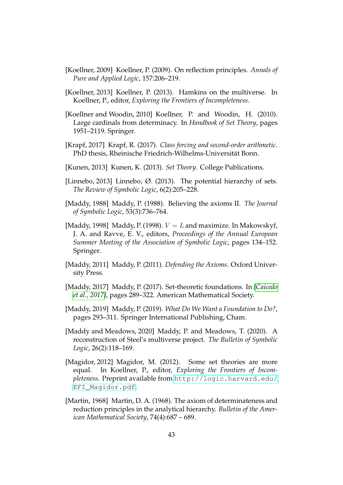- <span id="page-42-3"></span>[Koellner, 2009] Koellner, P. (2009). On reflection principles. *Annals of Pure and Applied Logic*, 157:206–219.
- <span id="page-42-0"></span>[Koellner, 2013] Koellner, P. (2013). Hamkins on the multiverse. In Koellner, P., editor, *Exploring the Frontiers of Incompleteness*.
- <span id="page-42-5"></span>[Koellner and Woodin, 2010] Koellner, P. and Woodin, H. (2010). Large cardinals from determinacy. In *Handbook of Set Theory*, pages 1951–2119. Springer.
- <span id="page-42-4"></span>[Krapf, 2017] Krapf, R. (2017). *Class forcing and second-order arithmetic*. PhD thesis, Rheinische Friedrich-Wilhelms-Universitat Bonn. ¨
- <span id="page-42-9"></span>[Kunen, 2013] Kunen, K. (2013). *Set Theory*. College Publications.
- <span id="page-42-12"></span>[Linnebo, 2013] Linnebo, Ø. (2013). The potential hierarchy of sets. *The Review of Symbolic Logic*, 6(2):205–228.
- <span id="page-42-6"></span>[Maddy, 1988] Maddy, P. (1988). Believing the axioms II. *The Journal of Symbolic Logic*, 53(3):736–764.
- <span id="page-42-11"></span>[Maddy, 1998] Maddy, P. (1998).  $V = L$  and maximize. In Makowskyf, J. A. and Ravve, E. V., editors, *Proceedings of the Annual European Summer Meeting of the Association of Symbolic Logic*, pages 134–152. Springer.
- <span id="page-42-7"></span>[Maddy, 2011] Maddy, P. (2011). *Defending the Axioms*. Oxford University Press.
- <span id="page-42-1"></span>[Maddy, 2017] Maddy, P. (2017). Set-theoretic foundations. In *[\[Caicedo](#page-40-9) [et al., 2017\]](#page-40-9)*, pages 289–322. American Mathematical Society.
- <span id="page-42-2"></span>[Maddy, 2019] Maddy, P. (2019). *What Do We Want a Foundation to Do?*, pages 293–311. Springer International Publishing, Cham.
- <span id="page-42-13"></span>[Maddy and Meadows, 2020] Maddy, P. and Meadows, T. (2020). A reconstruction of Steel's multiverse project. *The Bulletin of Symbolic Logic*, 26(2):118–169.
- <span id="page-42-8"></span>[Magidor, 2012] Magidor, M. (2012). Some set theories are more equal. In Koellner, P., editor, *Exploring the Frontiers of Incompleteness*. Preprint available from [http://logic.harvard.edu/](http://logic.harvard.edu/EFI_Magidor.pdf) [EFI\\_Magidor.pdf](http://logic.harvard.edu/EFI_Magidor.pdf).
- <span id="page-42-10"></span>[Martin, 1968] Martin, D. A. (1968). The axiom of determinateness and reduction principles in the analytical hierarchy. *Bulletin of the American Mathematical Society*, 74(4):687 – 689.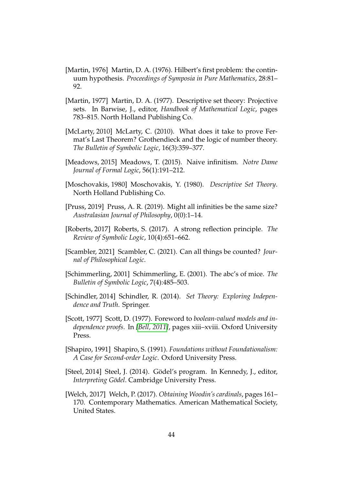- <span id="page-43-12"></span>[Martin, 1976] Martin, D. A. (1976). Hilbert's first problem: the continuum hypothesis. *Proceedings of Symposia in Pure Mathematics*, 28:81– 92.
- <span id="page-43-11"></span>[Martin, 1977] Martin, D. A. (1977). Descriptive set theory: Projective sets. In Barwise, J., editor, *Handbook of Mathematical Logic*, pages 783–815. North Holland Publishing Co.
- <span id="page-43-6"></span>[McLarty, 2010] McLarty, C. (2010). What does it take to prove Fermat's Last Theorem? Grothendieck and the logic of number theory. *The Bulletin of Symbolic Logic*, 16(3):359–377.
- <span id="page-43-0"></span>[Meadows, 2015] Meadows, T. (2015). Naive infinitism. *Notre Dame Journal of Formal Logic*, 56(1):191–212.
- <span id="page-43-13"></span>[Moschovakis, 1980] Moschovakis, Y. (1980). *Descriptive Set Theory*. North Holland Publishing Co.
- <span id="page-43-1"></span>[Pruss, 2019] Pruss, A. R. (2019). Might all infinities be the same size? *Australasian Journal of Philosophy*, 0(0):1–14.
- <span id="page-43-5"></span>[Roberts, 2017] Roberts, S. (2017). A strong reflection principle. *The Review of Symbolic Logic*, 10(4):651–662.
- <span id="page-43-2"></span>[Scambler, 2021] Scambler, C. (2021). Can all things be counted? *Journal of Philosophical Logic*.
- <span id="page-43-8"></span>[Schimmerling, 2001] Schimmerling, E. (2001). The abc's of mice. *The Bulletin of Symbolic Logic*, 7(4):485–503.
- <span id="page-43-9"></span>[Schindler, 2014] Schindler, R. (2014). *Set Theory: Exploring Independence and Truth*. Springer.
- <span id="page-43-3"></span>[Scott, 1977] Scott, D. (1977). Foreword to *boolean-valued models and independence proofs*. In *[\[Bell, 2011\]](#page-40-2)*, pages xiii–xviii. Oxford University Press.
- <span id="page-43-7"></span>[Shapiro, 1991] Shapiro, S. (1991). *Foundations without Foundationalism: A Case for Second-order Logic*. Oxford University Press.
- <span id="page-43-4"></span>[Steel, 2014] Steel, J. (2014). Gödel's program. In Kennedy, J., editor, *Interpreting Gödel*. Cambridge University Press.
- <span id="page-43-10"></span>[Welch, 2017] Welch, P. (2017). *Obtaining Woodin's cardinals*, pages 161– 170. Contemporary Mathematics. American Mathematical Society, United States.